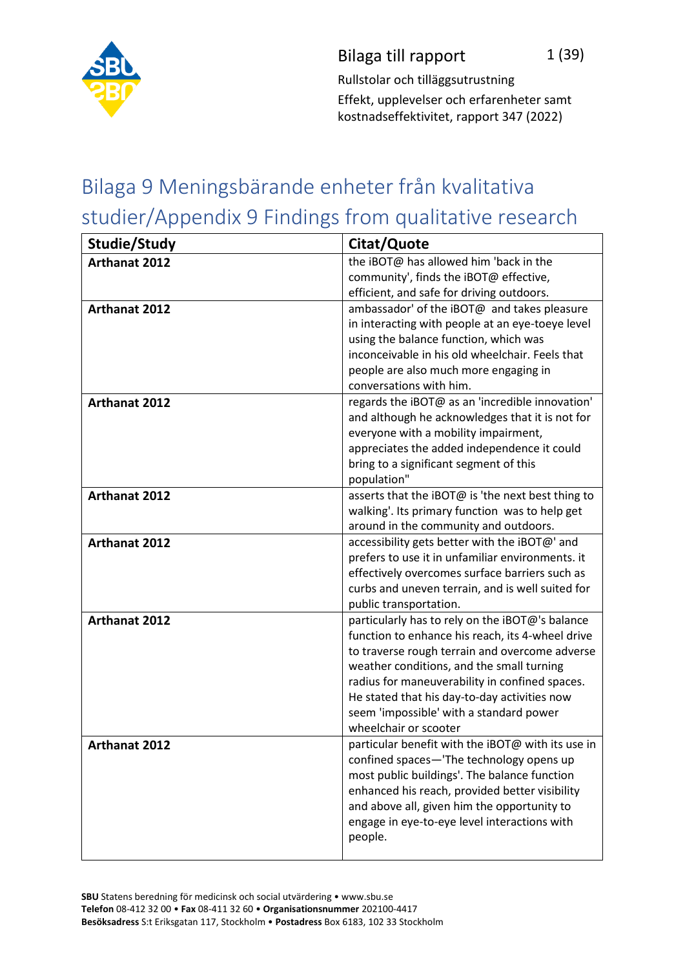

Rullstolar och tilläggsutrustning Effekt, upplevelser och erfarenheter samt kostnadseffektivitet, rapport 347 (2022)

## Bilaga 9 Meningsbärande enheter från kvalitativa studier/Appendix 9 Findings from qualitative research

| Studie/Study         | Citat/Quote                                                                                                                                                                                                                                                                                                                                                              |
|----------------------|--------------------------------------------------------------------------------------------------------------------------------------------------------------------------------------------------------------------------------------------------------------------------------------------------------------------------------------------------------------------------|
| <b>Arthanat 2012</b> | the iBOT@ has allowed him 'back in the<br>community', finds the iBOT@ effective,<br>efficient, and safe for driving outdoors.                                                                                                                                                                                                                                            |
| Arthanat 2012        | ambassador' of the iBOT@ and takes pleasure<br>in interacting with people at an eye-toeye level<br>using the balance function, which was<br>inconceivable in his old wheelchair. Feels that<br>people are also much more engaging in<br>conversations with him.                                                                                                          |
| Arthanat 2012        | regards the iBOT@ as an 'incredible innovation'<br>and although he acknowledges that it is not for<br>everyone with a mobility impairment,<br>appreciates the added independence it could<br>bring to a significant segment of this<br>population"                                                                                                                       |
| <b>Arthanat 2012</b> | asserts that the iBOT@ is 'the next best thing to<br>walking'. Its primary function was to help get<br>around in the community and outdoors.                                                                                                                                                                                                                             |
| <b>Arthanat 2012</b> | accessibility gets better with the iBOT@' and<br>prefers to use it in unfamiliar environments. it<br>effectively overcomes surface barriers such as<br>curbs and uneven terrain, and is well suited for<br>public transportation.                                                                                                                                        |
| <b>Arthanat 2012</b> | particularly has to rely on the iBOT@'s balance<br>function to enhance his reach, its 4-wheel drive<br>to traverse rough terrain and overcome adverse<br>weather conditions, and the small turning<br>radius for maneuverability in confined spaces.<br>He stated that his day-to-day activities now<br>seem 'impossible' with a standard power<br>wheelchair or scooter |
| <b>Arthanat 2012</b> | particular benefit with the iBOT@ with its use in<br>confined spaces-'The technology opens up<br>most public buildings'. The balance function<br>enhanced his reach, provided better visibility<br>and above all, given him the opportunity to<br>engage in eye-to-eye level interactions with<br>people.                                                                |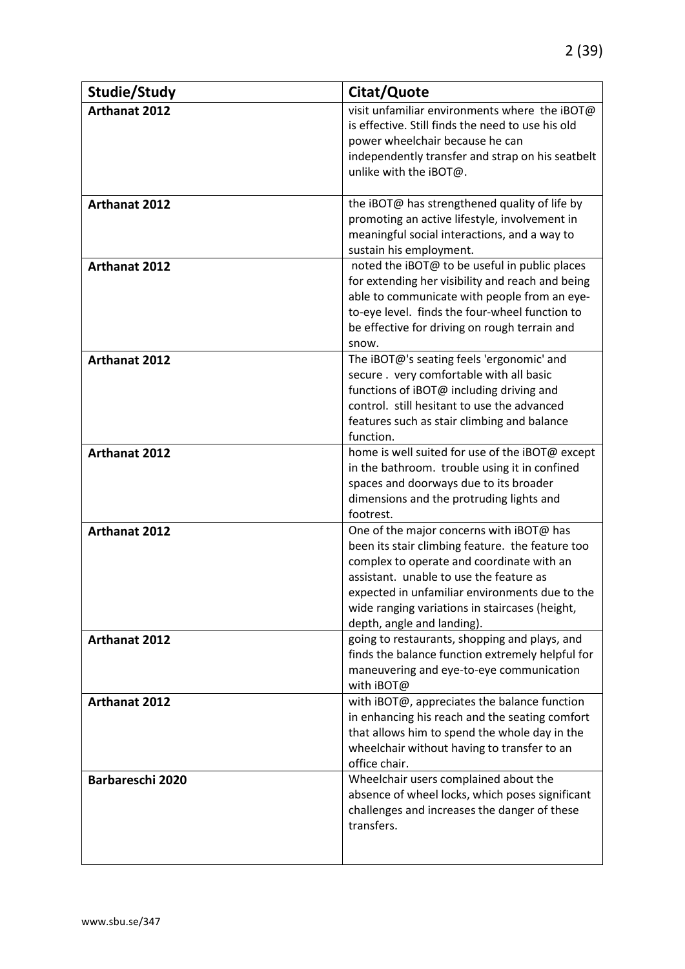| Studie/Study            | Citat/Quote                                                                                                                                                                                                                                                                                                            |
|-------------------------|------------------------------------------------------------------------------------------------------------------------------------------------------------------------------------------------------------------------------------------------------------------------------------------------------------------------|
| <b>Arthanat 2012</b>    | visit unfamiliar environments where the iBOT@<br>is effective. Still finds the need to use his old<br>power wheelchair because he can<br>independently transfer and strap on his seatbelt<br>unlike with the iBOT@.                                                                                                    |
| Arthanat 2012           | the iBOT@ has strengthened quality of life by<br>promoting an active lifestyle, involvement in<br>meaningful social interactions, and a way to<br>sustain his employment.                                                                                                                                              |
| <b>Arthanat 2012</b>    | noted the iBOT@ to be useful in public places<br>for extending her visibility and reach and being<br>able to communicate with people from an eye-<br>to-eye level. finds the four-wheel function to<br>be effective for driving on rough terrain and<br>snow.                                                          |
| <b>Arthanat 2012</b>    | The iBOT@'s seating feels 'ergonomic' and<br>secure . very comfortable with all basic<br>functions of iBOT@ including driving and<br>control. still hesitant to use the advanced<br>features such as stair climbing and balance<br>function.                                                                           |
| <b>Arthanat 2012</b>    | home is well suited for use of the iBOT@ except<br>in the bathroom. trouble using it in confined<br>spaces and doorways due to its broader<br>dimensions and the protruding lights and<br>footrest.                                                                                                                    |
| Arthanat 2012           | One of the major concerns with iBOT@ has<br>been its stair climbing feature. the feature too<br>complex to operate and coordinate with an<br>assistant. unable to use the feature as<br>expected in unfamiliar environments due to the<br>wide ranging variations in staircases (height,<br>depth, angle and landing). |
| <b>Arthanat 2012</b>    | going to restaurants, shopping and plays, and<br>finds the balance function extremely helpful for<br>maneuvering and eye-to-eye communication<br>with iBOT@                                                                                                                                                            |
| <b>Arthanat 2012</b>    | with iBOT@, appreciates the balance function<br>in enhancing his reach and the seating comfort<br>that allows him to spend the whole day in the<br>wheelchair without having to transfer to an<br>office chair.                                                                                                        |
| <b>Barbareschi 2020</b> | Wheelchair users complained about the<br>absence of wheel locks, which poses significant<br>challenges and increases the danger of these<br>transfers.                                                                                                                                                                 |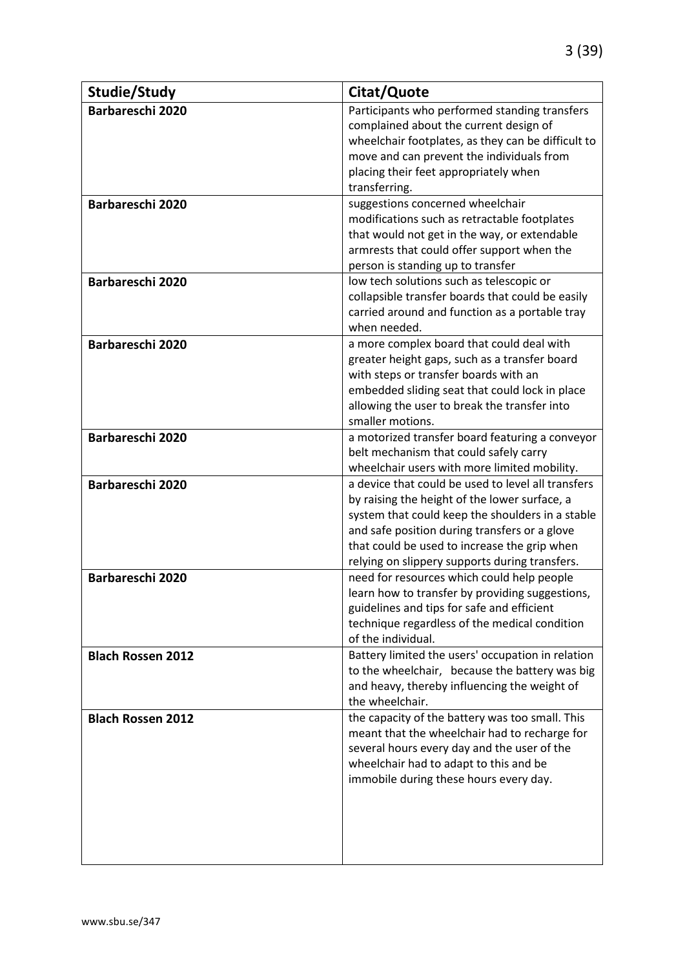| Studie/Study                                | Citat/Quote                                                                                                                                                                                                                                                                                                |
|---------------------------------------------|------------------------------------------------------------------------------------------------------------------------------------------------------------------------------------------------------------------------------------------------------------------------------------------------------------|
| <b>Barbareschi 2020</b>                     | Participants who performed standing transfers<br>complained about the current design of<br>wheelchair footplates, as they can be difficult to<br>move and can prevent the individuals from<br>placing their feet appropriately when<br>transferring.                                                       |
| <b>Barbareschi 2020</b><br>Barbareschi 2020 | suggestions concerned wheelchair<br>modifications such as retractable footplates<br>that would not get in the way, or extendable<br>armrests that could offer support when the<br>person is standing up to transfer<br>low tech solutions such as telescopic or                                            |
|                                             | collapsible transfer boards that could be easily<br>carried around and function as a portable tray<br>when needed.                                                                                                                                                                                         |
| Barbareschi 2020                            | a more complex board that could deal with<br>greater height gaps, such as a transfer board<br>with steps or transfer boards with an<br>embedded sliding seat that could lock in place<br>allowing the user to break the transfer into<br>smaller motions.                                                  |
| Barbareschi 2020                            | a motorized transfer board featuring a conveyor<br>belt mechanism that could safely carry<br>wheelchair users with more limited mobility.                                                                                                                                                                  |
| <b>Barbareschi 2020</b>                     | a device that could be used to level all transfers<br>by raising the height of the lower surface, a<br>system that could keep the shoulders in a stable<br>and safe position during transfers or a glove<br>that could be used to increase the grip when<br>relying on slippery supports during transfers. |
| Barbareschi 2020                            | need for resources which could help people<br>learn how to transfer by providing suggestions,<br>guidelines and tips for safe and efficient<br>technique regardless of the medical condition<br>of the individual.                                                                                         |
| <b>Blach Rossen 2012</b>                    | Battery limited the users' occupation in relation<br>to the wheelchair, because the battery was big<br>and heavy, thereby influencing the weight of<br>the wheelchair.                                                                                                                                     |
| <b>Blach Rossen 2012</b>                    | the capacity of the battery was too small. This<br>meant that the wheelchair had to recharge for<br>several hours every day and the user of the<br>wheelchair had to adapt to this and be<br>immobile during these hours every day.                                                                        |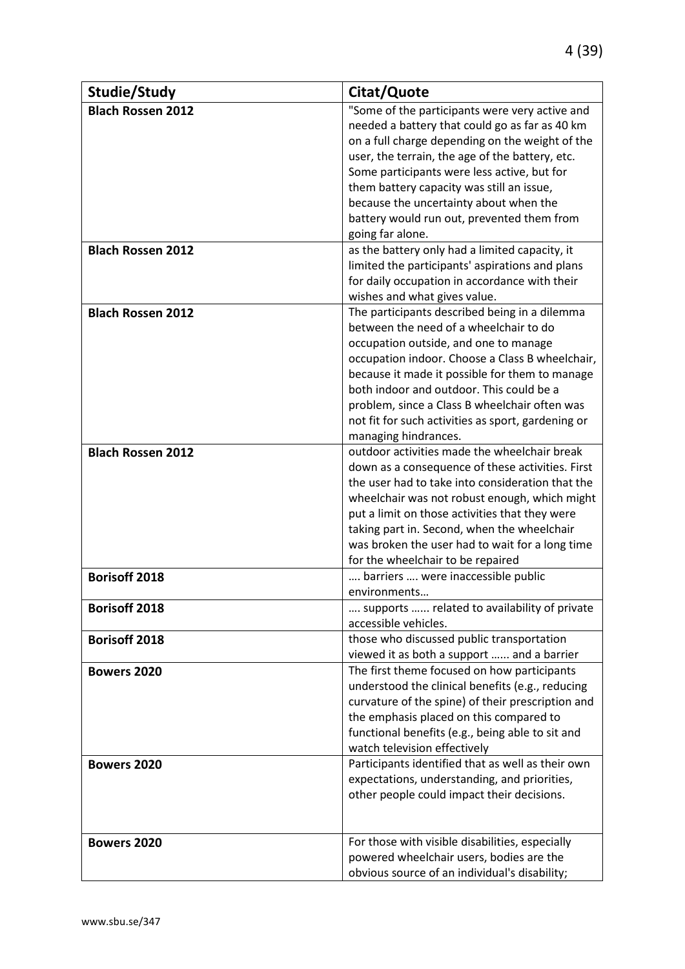| Studie/Study             | Citat/Quote                                                                                                                                         |
|--------------------------|-----------------------------------------------------------------------------------------------------------------------------------------------------|
| <b>Blach Rossen 2012</b> | "Some of the participants were very active and<br>needed a battery that could go as far as 40 km<br>on a full charge depending on the weight of the |
|                          | user, the terrain, the age of the battery, etc.                                                                                                     |
|                          | Some participants were less active, but for                                                                                                         |
|                          | them battery capacity was still an issue,                                                                                                           |
|                          | because the uncertainty about when the                                                                                                              |
|                          | battery would run out, prevented them from                                                                                                          |
|                          | going far alone.                                                                                                                                    |
| <b>Blach Rossen 2012</b> | as the battery only had a limited capacity, it<br>limited the participants' aspirations and plans                                                   |
|                          | for daily occupation in accordance with their                                                                                                       |
|                          | wishes and what gives value.                                                                                                                        |
| <b>Blach Rossen 2012</b> | The participants described being in a dilemma                                                                                                       |
|                          | between the need of a wheelchair to do                                                                                                              |
|                          | occupation outside, and one to manage                                                                                                               |
|                          | occupation indoor. Choose a Class B wheelchair,                                                                                                     |
|                          | because it made it possible for them to manage                                                                                                      |
|                          | both indoor and outdoor. This could be a<br>problem, since a Class B wheelchair often was                                                           |
|                          | not fit for such activities as sport, gardening or                                                                                                  |
|                          | managing hindrances.                                                                                                                                |
| <b>Blach Rossen 2012</b> | outdoor activities made the wheelchair break                                                                                                        |
|                          | down as a consequence of these activities. First                                                                                                    |
|                          | the user had to take into consideration that the                                                                                                    |
|                          | wheelchair was not robust enough, which might                                                                                                       |
|                          | put a limit on those activities that they were                                                                                                      |
|                          | taking part in. Second, when the wheelchair                                                                                                         |
|                          | was broken the user had to wait for a long time<br>for the wheelchair to be repaired                                                                |
| <b>Borisoff 2018</b>     | barriers  were inaccessible public                                                                                                                  |
|                          | environments                                                                                                                                        |
| <b>Borisoff 2018</b>     | supports  related to availability of private                                                                                                        |
|                          | accessible vehicles.                                                                                                                                |
| <b>Borisoff 2018</b>     | those who discussed public transportation                                                                                                           |
|                          | viewed it as both a support  and a barrier                                                                                                          |
| <b>Bowers 2020</b>       | The first theme focused on how participants<br>understood the clinical benefits (e.g., reducing                                                     |
|                          | curvature of the spine) of their prescription and                                                                                                   |
|                          | the emphasis placed on this compared to                                                                                                             |
|                          | functional benefits (e.g., being able to sit and                                                                                                    |
|                          | watch television effectively                                                                                                                        |
| <b>Bowers 2020</b>       | Participants identified that as well as their own                                                                                                   |
|                          | expectations, understanding, and priorities,                                                                                                        |
|                          | other people could impact their decisions.                                                                                                          |
|                          |                                                                                                                                                     |
| <b>Bowers 2020</b>       | For those with visible disabilities, especially                                                                                                     |
|                          | powered wheelchair users, bodies are the                                                                                                            |
|                          | obvious source of an individual's disability;                                                                                                       |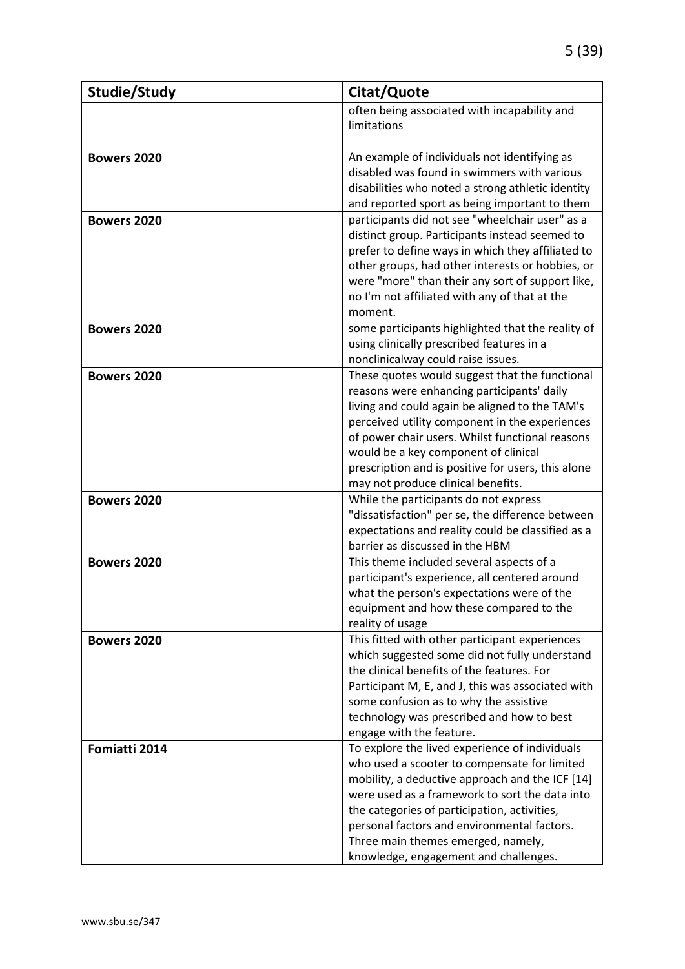| Studie/Study       | Citat/Quote                                                                                 |
|--------------------|---------------------------------------------------------------------------------------------|
|                    | often being associated with incapability and                                                |
|                    | limitations                                                                                 |
|                    |                                                                                             |
| <b>Bowers 2020</b> | An example of individuals not identifying as                                                |
|                    | disabled was found in swimmers with various                                                 |
|                    | disabilities who noted a strong athletic identity                                           |
|                    | and reported sport as being important to them                                               |
| <b>Bowers 2020</b> | participants did not see "wheelchair user" as a                                             |
|                    | distinct group. Participants instead seemed to                                              |
|                    | prefer to define ways in which they affiliated to                                           |
|                    | other groups, had other interests or hobbies, or                                            |
|                    | were "more" than their any sort of support like,                                            |
|                    | no I'm not affiliated with any of that at the<br>moment.                                    |
| <b>Bowers 2020</b> | some participants highlighted that the reality of                                           |
|                    | using clinically prescribed features in a                                                   |
|                    | nonclinicalway could raise issues.                                                          |
| <b>Bowers 2020</b> | These quotes would suggest that the functional                                              |
|                    | reasons were enhancing participants' daily                                                  |
|                    | living and could again be aligned to the TAM's                                              |
|                    | perceived utility component in the experiences                                              |
|                    | of power chair users. Whilst functional reasons                                             |
|                    | would be a key component of clinical                                                        |
|                    | prescription and is positive for users, this alone                                          |
|                    | may not produce clinical benefits.                                                          |
| <b>Bowers 2020</b> | While the participants do not express                                                       |
|                    | "dissatisfaction" per se, the difference between                                            |
|                    | expectations and reality could be classified as a                                           |
|                    | barrier as discussed in the HBM                                                             |
| <b>Bowers 2020</b> | This theme included several aspects of a                                                    |
|                    | participant's experience, all centered around<br>what the person's expectations were of the |
|                    | equipment and how these compared to the                                                     |
|                    | reality of usage                                                                            |
| <b>Bowers 2020</b> | This fitted with other participant experiences                                              |
|                    | which suggested some did not fully understand                                               |
|                    | the clinical benefits of the features. For                                                  |
|                    | Participant M, E, and J, this was associated with                                           |
|                    | some confusion as to why the assistive                                                      |
|                    | technology was prescribed and how to best                                                   |
|                    | engage with the feature.                                                                    |
| Fomiatti 2014      | To explore the lived experience of individuals                                              |
|                    | who used a scooter to compensate for limited                                                |
|                    | mobility, a deductive approach and the ICF [14]                                             |
|                    | were used as a framework to sort the data into                                              |
|                    | the categories of participation, activities,                                                |
|                    | personal factors and environmental factors.                                                 |
|                    | Three main themes emerged, namely,<br>knowledge, engagement and challenges.                 |
|                    |                                                                                             |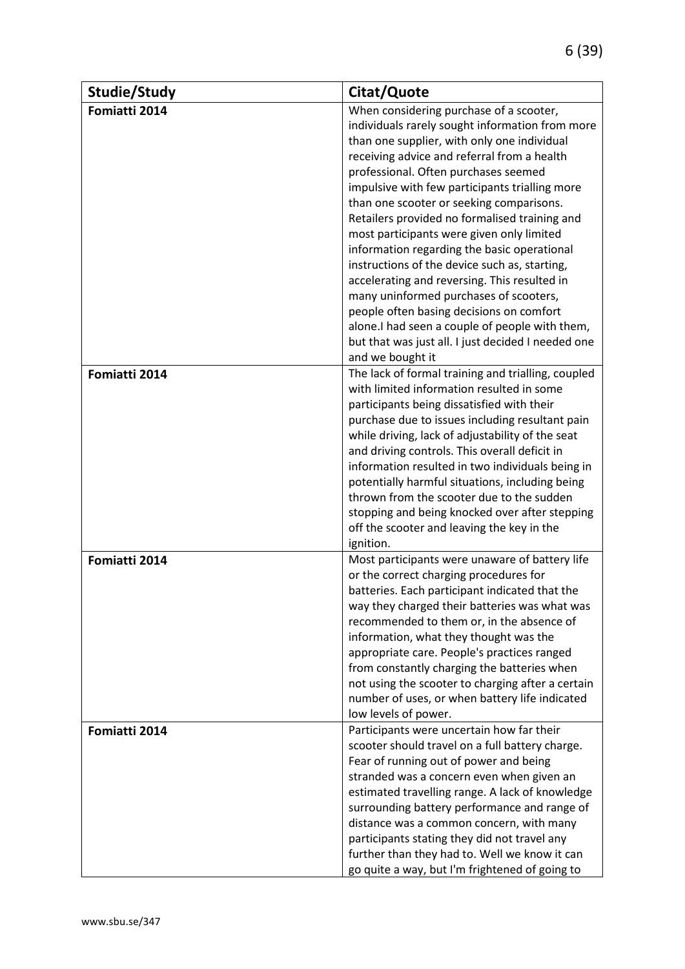| Studie/Study  | Citat/Quote                                             |
|---------------|---------------------------------------------------------|
| Fomiatti 2014 | When considering purchase of a scooter,                 |
|               | individuals rarely sought information from more         |
|               | than one supplier, with only one individual             |
|               | receiving advice and referral from a health             |
|               | professional. Often purchases seemed                    |
|               | impulsive with few participants trialling more          |
|               | than one scooter or seeking comparisons.                |
|               | Retailers provided no formalised training and           |
|               | most participants were given only limited               |
|               | information regarding the basic operational             |
|               | instructions of the device such as, starting,           |
|               | accelerating and reversing. This resulted in            |
|               | many uninformed purchases of scooters,                  |
|               | people often basing decisions on comfort                |
|               | alone. I had seen a couple of people with them,         |
|               | but that was just all. I just decided I needed one      |
|               | and we bought it                                        |
| Fomiatti 2014 | The lack of formal training and trialling, coupled      |
|               | with limited information resulted in some               |
|               | participants being dissatisfied with their              |
|               | purchase due to issues including resultant pain         |
|               | while driving, lack of adjustability of the seat        |
|               | and driving controls. This overall deficit in           |
|               | information resulted in two individuals being in        |
|               | potentially harmful situations, including being         |
|               | thrown from the scooter due to the sudden               |
|               | stopping and being knocked over after stepping          |
|               | off the scooter and leaving the key in the<br>ignition. |
| Fomiatti 2014 | Most participants were unaware of battery life          |
|               | or the correct charging procedures for                  |
|               | batteries. Each participant indicated that the          |
|               | way they charged their batteries was what was           |
|               | recommended to them or, in the absence of               |
|               | information, what they thought was the                  |
|               | appropriate care. People's practices ranged             |
|               | from constantly charging the batteries when             |
|               | not using the scooter to charging after a certain       |
|               | number of uses, or when battery life indicated          |
|               | low levels of power.                                    |
| Fomiatti 2014 | Participants were uncertain how far their               |
|               | scooter should travel on a full battery charge.         |
|               | Fear of running out of power and being                  |
|               | stranded was a concern even when given an               |
|               | estimated travelling range. A lack of knowledge         |
|               | surrounding battery performance and range of            |
|               | distance was a common concern, with many                |
|               | participants stating they did not travel any            |
|               | further than they had to. Well we know it can           |
|               | go quite a way, but I'm frightened of going to          |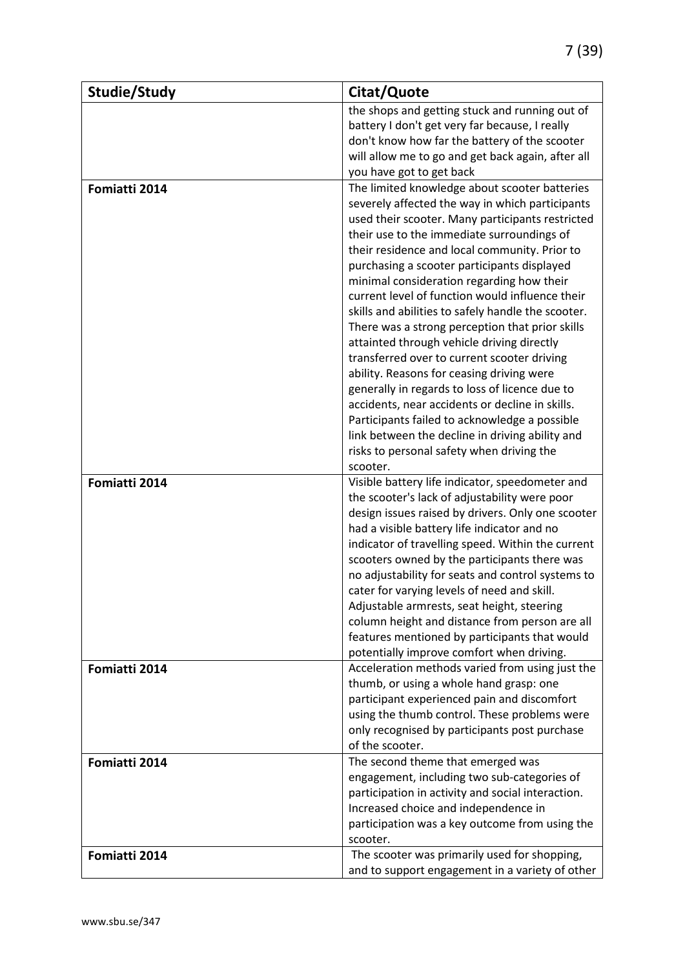| Studie/Study  | Citat/Quote                                        |
|---------------|----------------------------------------------------|
|               | the shops and getting stuck and running out of     |
|               | battery I don't get very far because, I really     |
|               | don't know how far the battery of the scooter      |
|               | will allow me to go and get back again, after all  |
|               | you have got to get back                           |
| Fomiatti 2014 | The limited knowledge about scooter batteries      |
|               | severely affected the way in which participants    |
|               | used their scooter. Many participants restricted   |
|               | their use to the immediate surroundings of         |
|               | their residence and local community. Prior to      |
|               | purchasing a scooter participants displayed        |
|               | minimal consideration regarding how their          |
|               | current level of function would influence their    |
|               | skills and abilities to safely handle the scooter. |
|               | There was a strong perception that prior skills    |
|               | attainted through vehicle driving directly         |
|               | transferred over to current scooter driving        |
|               | ability. Reasons for ceasing driving were          |
|               | generally in regards to loss of licence due to     |
|               | accidents, near accidents or decline in skills.    |
|               | Participants failed to acknowledge a possible      |
|               | link between the decline in driving ability and    |
|               | risks to personal safety when driving the          |
|               | scooter.                                           |
| Fomiatti 2014 | Visible battery life indicator, speedometer and    |
|               | the scooter's lack of adjustability were poor      |
|               | design issues raised by drivers. Only one scooter  |
|               | had a visible battery life indicator and no        |
|               | indicator of travelling speed. Within the current  |
|               | scooters owned by the participants there was       |
|               | no adjustability for seats and control systems to  |
|               | cater for varying levels of need and skill.        |
|               | Adjustable armrests, seat height, steering         |
|               | column height and distance from person are all     |
|               | features mentioned by participants that would      |
|               | potentially improve comfort when driving.          |
| Fomiatti 2014 | Acceleration methods varied from using just the    |
|               | thumb, or using a whole hand grasp: one            |
|               | participant experienced pain and discomfort        |
|               | using the thumb control. These problems were       |
|               | only recognised by participants post purchase      |
|               | of the scooter.                                    |
| Fomiatti 2014 | The second theme that emerged was                  |
|               | engagement, including two sub-categories of        |
|               | participation in activity and social interaction.  |
|               | Increased choice and independence in               |
|               | participation was a key outcome from using the     |
|               | scooter.                                           |
| Fomiatti 2014 | The scooter was primarily used for shopping,       |
|               | and to support engagement in a variety of other    |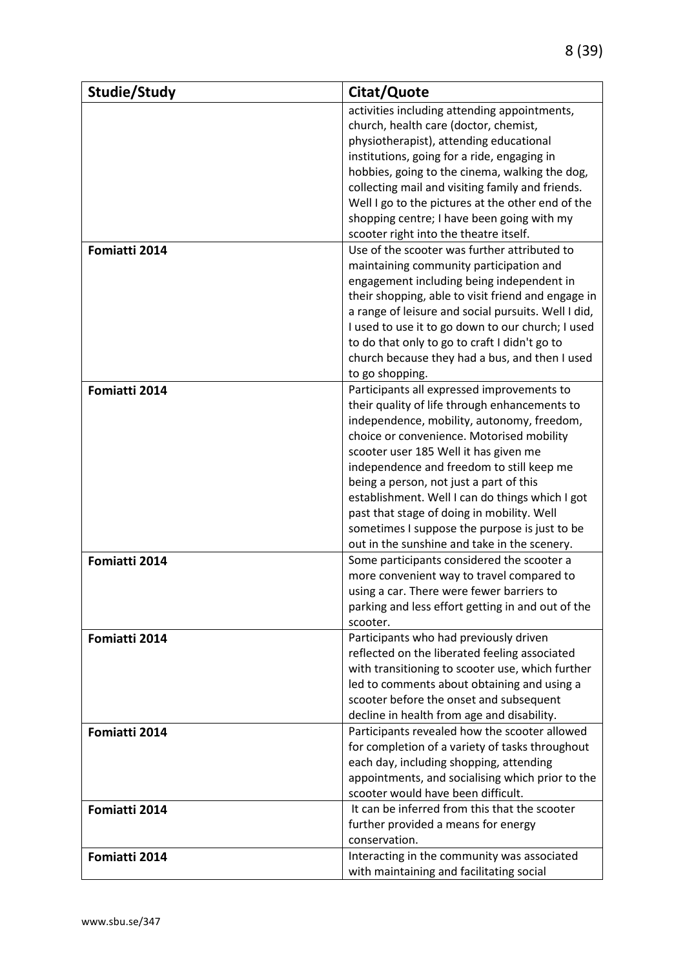| Studie/Study  | Citat/Quote                                         |
|---------------|-----------------------------------------------------|
|               | activities including attending appointments,        |
|               | church, health care (doctor, chemist,               |
|               | physiotherapist), attending educational             |
|               | institutions, going for a ride, engaging in         |
|               | hobbies, going to the cinema, walking the dog,      |
|               | collecting mail and visiting family and friends.    |
|               | Well I go to the pictures at the other end of the   |
|               | shopping centre; I have been going with my          |
|               | scooter right into the theatre itself.              |
| Fomiatti 2014 | Use of the scooter was further attributed to        |
|               | maintaining community participation and             |
|               | engagement including being independent in           |
|               | their shopping, able to visit friend and engage in  |
|               | a range of leisure and social pursuits. Well I did, |
|               | I used to use it to go down to our church; I used   |
|               | to do that only to go to craft I didn't go to       |
|               | church because they had a bus, and then I used      |
|               | to go shopping.                                     |
| Fomiatti 2014 | Participants all expressed improvements to          |
|               | their quality of life through enhancements to       |
|               | independence, mobility, autonomy, freedom,          |
|               | choice or convenience. Motorised mobility           |
|               | scooter user 185 Well it has given me               |
|               | independence and freedom to still keep me           |
|               | being a person, not just a part of this             |
|               | establishment. Well I can do things which I got     |
|               | past that stage of doing in mobility. Well          |
|               | sometimes I suppose the purpose is just to be       |
|               | out in the sunshine and take in the scenery.        |
| Fomiatti 2014 | Some participants considered the scooter a          |
|               | more convenient way to travel compared to           |
|               | using a car. There were fewer barriers to           |
|               | parking and less effort getting in and out of the   |
|               | scooter.                                            |
| Fomiatti 2014 | Participants who had previously driven              |
|               | reflected on the liberated feeling associated       |
|               | with transitioning to scooter use, which further    |
|               | led to comments about obtaining and using a         |
|               | scooter before the onset and subsequent             |
|               | decline in health from age and disability.          |
| Fomiatti 2014 | Participants revealed how the scooter allowed       |
|               | for completion of a variety of tasks throughout     |
|               | each day, including shopping, attending             |
|               | appointments, and socialising which prior to the    |
|               | scooter would have been difficult.                  |
| Fomiatti 2014 | It can be inferred from this that the scooter       |
|               | further provided a means for energy                 |
|               | conservation.                                       |
| Fomiatti 2014 | Interacting in the community was associated         |
|               | with maintaining and facilitating social            |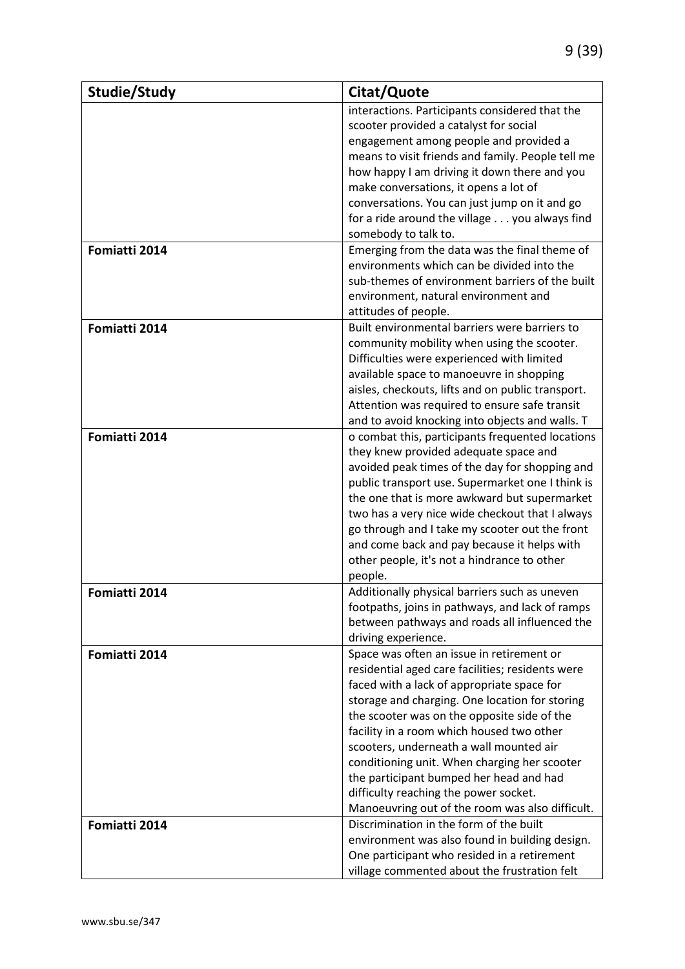| Studie/Study  | Citat/Quote                                                                                |
|---------------|--------------------------------------------------------------------------------------------|
|               | interactions. Participants considered that the                                             |
|               | scooter provided a catalyst for social                                                     |
|               | engagement among people and provided a                                                     |
|               | means to visit friends and family. People tell me                                          |
|               | how happy I am driving it down there and you                                               |
|               | make conversations, it opens a lot of                                                      |
|               | conversations. You can just jump on it and go                                              |
|               | for a ride around the village you always find                                              |
|               | somebody to talk to.                                                                       |
| Fomiatti 2014 | Emerging from the data was the final theme of                                              |
|               | environments which can be divided into the                                                 |
|               | sub-themes of environment barriers of the built                                            |
|               | environment, natural environment and                                                       |
|               | attitudes of people.                                                                       |
| Fomiatti 2014 | Built environmental barriers were barriers to                                              |
|               | community mobility when using the scooter.                                                 |
|               | Difficulties were experienced with limited                                                 |
|               | available space to manoeuvre in shopping                                                   |
|               | aisles, checkouts, lifts and on public transport.                                          |
|               | Attention was required to ensure safe transit                                              |
|               | and to avoid knocking into objects and walls. T                                            |
| Fomiatti 2014 | o combat this, participants frequented locations                                           |
|               | they knew provided adequate space and                                                      |
|               | avoided peak times of the day for shopping and                                             |
|               | public transport use. Supermarket one I think is                                           |
|               | the one that is more awkward but supermarket                                               |
|               | two has a very nice wide checkout that I always                                            |
|               | go through and I take my scooter out the front                                             |
|               | and come back and pay because it helps with<br>other people, it's not a hindrance to other |
|               | people.                                                                                    |
| Fomiatti 2014 | Additionally physical barriers such as uneven                                              |
|               | footpaths, joins in pathways, and lack of ramps                                            |
|               | between pathways and roads all influenced the                                              |
|               | driving experience.                                                                        |
| Fomiatti 2014 | Space was often an issue in retirement or                                                  |
|               | residential aged care facilities; residents were                                           |
|               | faced with a lack of appropriate space for                                                 |
|               | storage and charging. One location for storing                                             |
|               | the scooter was on the opposite side of the                                                |
|               | facility in a room which housed two other                                                  |
|               | scooters, underneath a wall mounted air                                                    |
|               | conditioning unit. When charging her scooter                                               |
|               | the participant bumped her head and had                                                    |
|               | difficulty reaching the power socket.                                                      |
|               | Manoeuvring out of the room was also difficult.                                            |
| Fomiatti 2014 | Discrimination in the form of the built                                                    |
|               | environment was also found in building design.                                             |
|               | One participant who resided in a retirement                                                |
|               | village commented about the frustration felt                                               |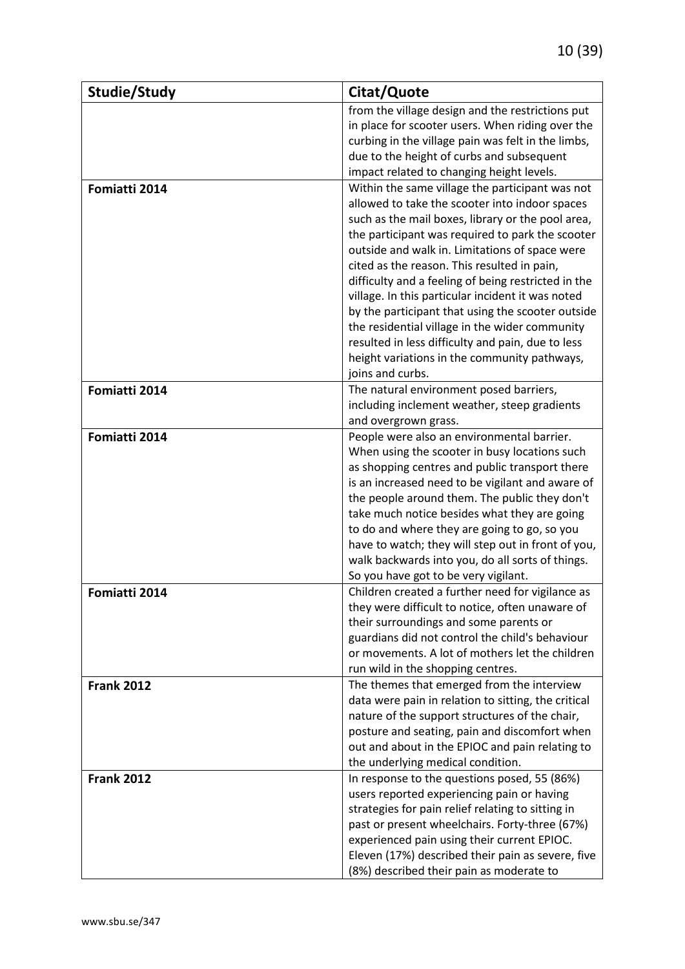| Studie/Study<br>Citat/Quote                                                                     |  |
|-------------------------------------------------------------------------------------------------|--|
| from the village design and the restrictions put                                                |  |
| in place for scooter users. When riding over the                                                |  |
| curbing in the village pain was felt in the limbs,                                              |  |
| due to the height of curbs and subsequent                                                       |  |
| impact related to changing height levels.                                                       |  |
| Within the same village the participant was not<br>Fomiatti 2014                                |  |
| allowed to take the scooter into indoor spaces                                                  |  |
| such as the mail boxes, library or the pool area,                                               |  |
| the participant was required to park the scooter                                                |  |
| outside and walk in. Limitations of space were                                                  |  |
| cited as the reason. This resulted in pain,                                                     |  |
| difficulty and a feeling of being restricted in the                                             |  |
| village. In this particular incident it was noted                                               |  |
| by the participant that using the scooter outside                                               |  |
| the residential village in the wider community                                                  |  |
| resulted in less difficulty and pain, due to less                                               |  |
| height variations in the community pathways,                                                    |  |
| joins and curbs.                                                                                |  |
| Fomiatti 2014<br>The natural environment posed barriers,                                        |  |
| including inclement weather, steep gradients                                                    |  |
| and overgrown grass.                                                                            |  |
| People were also an environmental barrier.<br>Fomiatti 2014                                     |  |
| When using the scooter in busy locations such                                                   |  |
| as shopping centres and public transport there                                                  |  |
| is an increased need to be vigilant and aware of                                                |  |
| the people around them. The public they don't                                                   |  |
| take much notice besides what they are going                                                    |  |
| to do and where they are going to go, so you                                                    |  |
| have to watch; they will step out in front of you,                                              |  |
| walk backwards into you, do all sorts of things.                                                |  |
| So you have got to be very vigilant.                                                            |  |
| Children created a further need for vigilance as<br>Fomiatti 2014                               |  |
| they were difficult to notice, often unaware of                                                 |  |
| their surroundings and some parents or                                                          |  |
| guardians did not control the child's behaviour                                                 |  |
| or movements. A lot of mothers let the children                                                 |  |
| run wild in the shopping centres.                                                               |  |
| The themes that emerged from the interview<br><b>Frank 2012</b>                                 |  |
| data were pain in relation to sitting, the critical                                             |  |
| nature of the support structures of the chair,<br>posture and seating, pain and discomfort when |  |
| out and about in the EPIOC and pain relating to                                                 |  |
| the underlying medical condition.                                                               |  |
| <b>Frank 2012</b><br>In response to the questions posed, 55 (86%)                               |  |
| users reported experiencing pain or having                                                      |  |
| strategies for pain relief relating to sitting in                                               |  |
| past or present wheelchairs. Forty-three (67%)                                                  |  |
| experienced pain using their current EPIOC.                                                     |  |
| Eleven (17%) described their pain as severe, five                                               |  |
| (8%) described their pain as moderate to                                                        |  |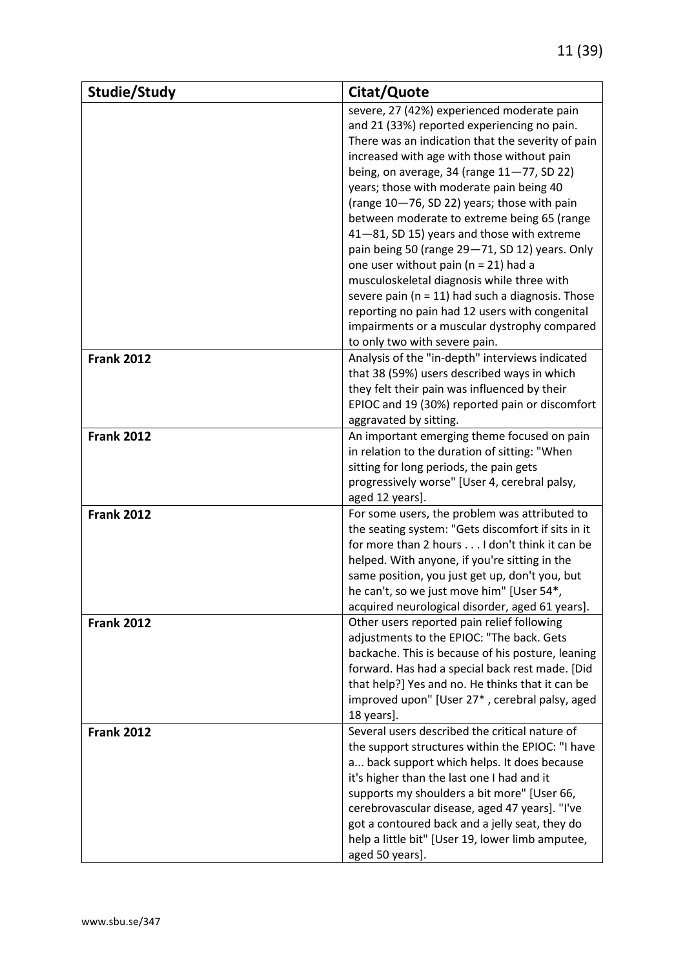| Studie/Study      | Citat/Quote                                                                                 |
|-------------------|---------------------------------------------------------------------------------------------|
|                   | severe, 27 (42%) experienced moderate pain                                                  |
|                   | and 21 (33%) reported experiencing no pain.                                                 |
|                   | There was an indication that the severity of pain                                           |
|                   | increased with age with those without pain                                                  |
|                   | being, on average, 34 (range $11-77$ , SD 22)                                               |
|                   | years; those with moderate pain being 40                                                    |
|                   | (range 10-76, SD 22) years; those with pain                                                 |
|                   | between moderate to extreme being 65 (range                                                 |
|                   | 41-81, SD 15) years and those with extreme                                                  |
|                   | pain being 50 (range 29-71, SD 12) years. Only                                              |
|                   | one user without pain ( $n = 21$ ) had a                                                    |
|                   | musculoskeletal diagnosis while three with                                                  |
|                   | severe pain ( $n = 11$ ) had such a diagnosis. Those                                        |
|                   | reporting no pain had 12 users with congenital                                              |
|                   | impairments or a muscular dystrophy compared                                                |
|                   | to only two with severe pain.                                                               |
| <b>Frank 2012</b> | Analysis of the "in-depth" interviews indicated                                             |
|                   | that 38 (59%) users described ways in which                                                 |
|                   | they felt their pain was influenced by their                                                |
|                   | EPIOC and 19 (30%) reported pain or discomfort                                              |
|                   | aggravated by sitting.                                                                      |
| <b>Frank 2012</b> | An important emerging theme focused on pain                                                 |
|                   | in relation to the duration of sitting: "When                                               |
|                   | sitting for long periods, the pain gets                                                     |
|                   | progressively worse" [User 4, cerebral palsy,                                               |
|                   | aged 12 years].                                                                             |
| <b>Frank 2012</b> | For some users, the problem was attributed to                                               |
|                   | the seating system: "Gets discomfort if sits in it                                          |
|                   | for more than 2 hours I don't think it can be                                               |
|                   | helped. With anyone, if you're sitting in the                                               |
|                   | same position, you just get up, don't you, but<br>he can't, so we just move him" [User 54*, |
|                   | acquired neurological disorder, aged 61 years].                                             |
| <b>Frank 2012</b> | Other users reported pain relief following                                                  |
|                   | adjustments to the EPIOC: "The back. Gets                                                   |
|                   | backache. This is because of his posture, leaning                                           |
|                   | forward. Has had a special back rest made. [Did                                             |
|                   | that help?] Yes and no. He thinks that it can be                                            |
|                   | improved upon" [User 27*, cerebral palsy, aged                                              |
|                   | 18 years].                                                                                  |
| <b>Frank 2012</b> | Several users described the critical nature of                                              |
|                   | the support structures within the EPIOC: "I have                                            |
|                   | a back support which helps. It does because                                                 |
|                   | it's higher than the last one I had and it                                                  |
|                   | supports my shoulders a bit more" [User 66,                                                 |
|                   | cerebrovascular disease, aged 47 years]. "I've                                              |
|                   | got a contoured back and a jelly seat, they do                                              |
|                   | help a little bit" [User 19, lower limb amputee,                                            |
|                   | aged 50 years].                                                                             |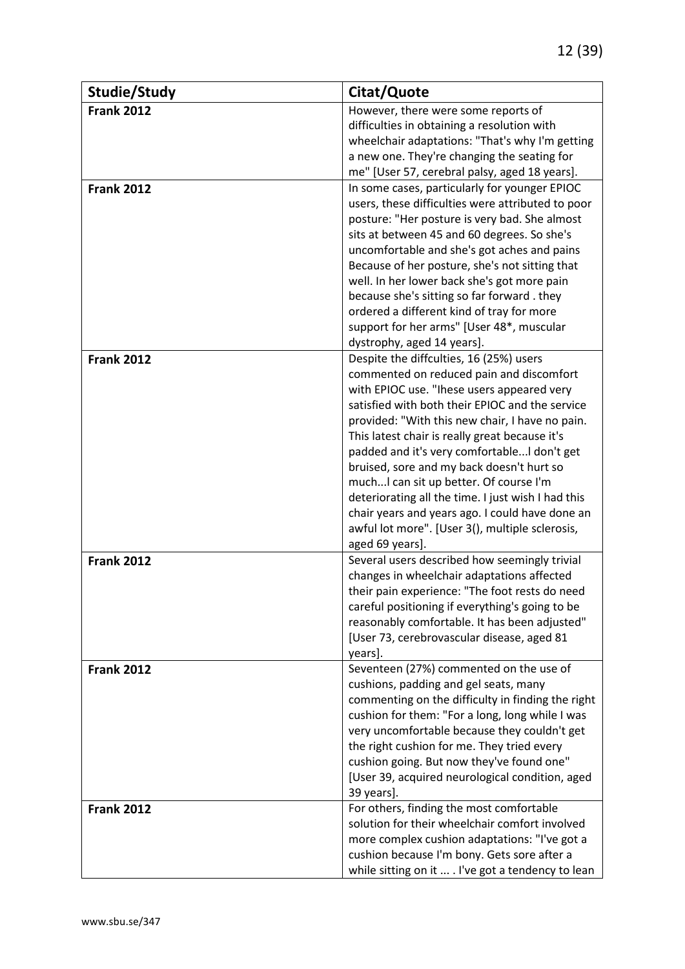| Studie/Study      | Citat/Quote                                                                                        |
|-------------------|----------------------------------------------------------------------------------------------------|
| <b>Frank 2012</b> | However, there were some reports of                                                                |
|                   | difficulties in obtaining a resolution with                                                        |
|                   | wheelchair adaptations: "That's why I'm getting                                                    |
|                   | a new one. They're changing the seating for                                                        |
|                   | me" [User 57, cerebral palsy, aged 18 years].                                                      |
| <b>Frank 2012</b> | In some cases, particularly for younger EPIOC<br>users, these difficulties were attributed to poor |
|                   | posture: "Her posture is very bad. She almost                                                      |
|                   | sits at between 45 and 60 degrees. So she's                                                        |
|                   | uncomfortable and she's got aches and pains                                                        |
|                   | Because of her posture, she's not sitting that                                                     |
|                   | well. In her lower back she's got more pain                                                        |
|                   | because she's sitting so far forward. they                                                         |
|                   | ordered a different kind of tray for more                                                          |
|                   | support for her arms" [User 48*, muscular                                                          |
|                   | dystrophy, aged 14 years].                                                                         |
| <b>Frank 2012</b> | Despite the diffculties, 16 (25%) users                                                            |
|                   | commented on reduced pain and discomfort                                                           |
|                   | with EPIOC use. "Ihese users appeared very                                                         |
|                   | satisfied with both their EPIOC and the service<br>provided: "With this new chair, I have no pain. |
|                   | This latest chair is really great because it's                                                     |
|                   | padded and it's very comfortable I don't get                                                       |
|                   | bruised, sore and my back doesn't hurt so                                                          |
|                   | much I can sit up better. Of course I'm                                                            |
|                   | deteriorating all the time. I just wish I had this                                                 |
|                   | chair years and years ago. I could have done an                                                    |
|                   | awful lot more". [User 3(), multiple sclerosis,                                                    |
|                   | aged 69 years].                                                                                    |
| <b>Frank 2012</b> | Several users described how seemingly trivial                                                      |
|                   | changes in wheelchair adaptations affected                                                         |
|                   | their pain experience: "The foot rests do need                                                     |
|                   | careful positioning if everything's going to be                                                    |
|                   | reasonably comfortable. It has been adjusted"<br>[User 73, cerebrovascular disease, aged 81        |
|                   | years].                                                                                            |
| <b>Frank 2012</b> | Seventeen (27%) commented on the use of                                                            |
|                   | cushions, padding and gel seats, many                                                              |
|                   | commenting on the difficulty in finding the right                                                  |
|                   | cushion for them: "For a long, long while I was                                                    |
|                   | very uncomfortable because they couldn't get                                                       |
|                   | the right cushion for me. They tried every                                                         |
|                   | cushion going. But now they've found one"                                                          |
|                   | [User 39, acquired neurological condition, aged                                                    |
|                   | 39 years].                                                                                         |
| <b>Frank 2012</b> | For others, finding the most comfortable                                                           |
|                   | solution for their wheelchair comfort involved                                                     |
|                   | more complex cushion adaptations: "I've got a<br>cushion because I'm bony. Gets sore after a       |
|                   | while sitting on it  . I've got a tendency to lean                                                 |
|                   |                                                                                                    |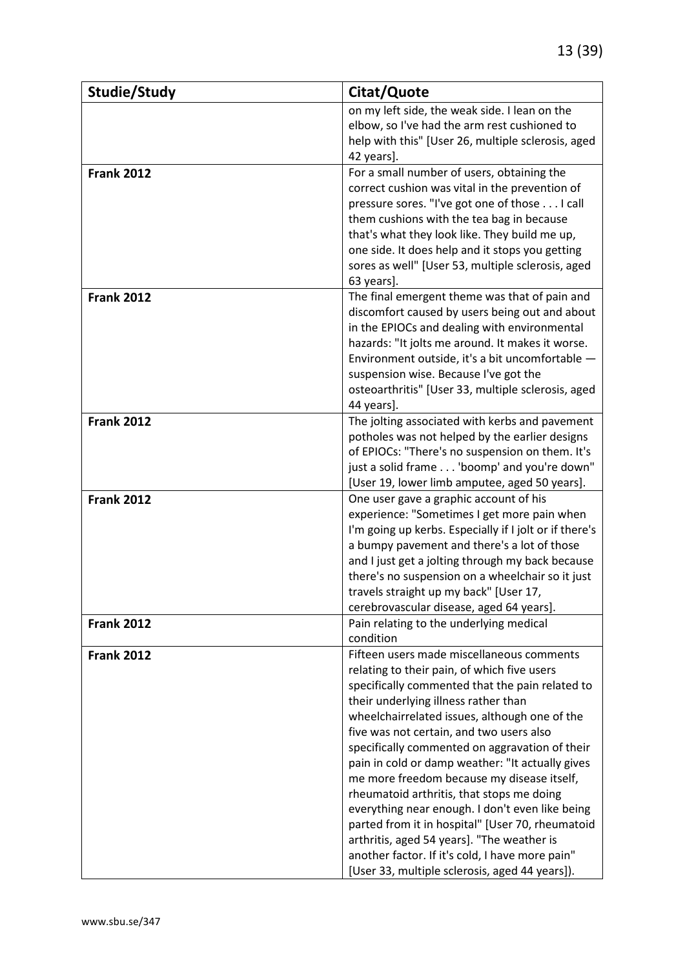| Studie/Study      | Citat/Quote                                                                                      |
|-------------------|--------------------------------------------------------------------------------------------------|
|                   | on my left side, the weak side. I lean on the                                                    |
|                   | elbow, so I've had the arm rest cushioned to                                                     |
|                   | help with this" [User 26, multiple sclerosis, aged                                               |
|                   | 42 years].                                                                                       |
| <b>Frank 2012</b> | For a small number of users, obtaining the                                                       |
|                   | correct cushion was vital in the prevention of                                                   |
|                   | pressure sores. "I've got one of those I call                                                    |
|                   | them cushions with the tea bag in because                                                        |
|                   | that's what they look like. They build me up,                                                    |
|                   | one side. It does help and it stops you getting                                                  |
|                   | sores as well" [User 53, multiple sclerosis, aged                                                |
|                   | 63 years].                                                                                       |
| <b>Frank 2012</b> | The final emergent theme was that of pain and                                                    |
|                   | discomfort caused by users being out and about                                                   |
|                   | in the EPIOCs and dealing with environmental                                                     |
|                   | hazards: "It jolts me around. It makes it worse.                                                 |
|                   | Environment outside, it's a bit uncomfortable -                                                  |
|                   | suspension wise. Because I've got the                                                            |
|                   | osteoarthritis" [User 33, multiple sclerosis, aged                                               |
|                   | 44 years].                                                                                       |
| <b>Frank 2012</b> | The jolting associated with kerbs and pavement<br>potholes was not helped by the earlier designs |
|                   | of EPIOCs: "There's no suspension on them. It's                                                  |
|                   | just a solid frame 'boomp' and you're down"                                                      |
|                   | [User 19, lower limb amputee, aged 50 years].                                                    |
| <b>Frank 2012</b> | One user gave a graphic account of his                                                           |
|                   | experience: "Sometimes I get more pain when                                                      |
|                   | I'm going up kerbs. Especially if I jolt or if there's                                           |
|                   | a bumpy pavement and there's a lot of those                                                      |
|                   | and I just get a jolting through my back because                                                 |
|                   | there's no suspension on a wheelchair so it just                                                 |
|                   | travels straight up my back" [User 17,                                                           |
|                   | cerebrovascular disease, aged 64 years].                                                         |
| <b>Frank 2012</b> | Pain relating to the underlying medical                                                          |
|                   | condition                                                                                        |
| <b>Frank 2012</b> | Fifteen users made miscellaneous comments                                                        |
|                   | relating to their pain, of which five users                                                      |
|                   | specifically commented that the pain related to                                                  |
|                   | their underlying illness rather than                                                             |
|                   | wheelchairrelated issues, although one of the                                                    |
|                   | five was not certain, and two users also                                                         |
|                   | specifically commented on aggravation of their                                                   |
|                   | pain in cold or damp weather: "It actually gives                                                 |
|                   | me more freedom because my disease itself,                                                       |
|                   | rheumatoid arthritis, that stops me doing                                                        |
|                   | everything near enough. I don't even like being                                                  |
|                   | parted from it in hospital" [User 70, rheumatoid                                                 |
|                   | arthritis, aged 54 years]. "The weather is                                                       |
|                   | another factor. If it's cold, I have more pain"                                                  |
|                   | [User 33, multiple sclerosis, aged 44 years]).                                                   |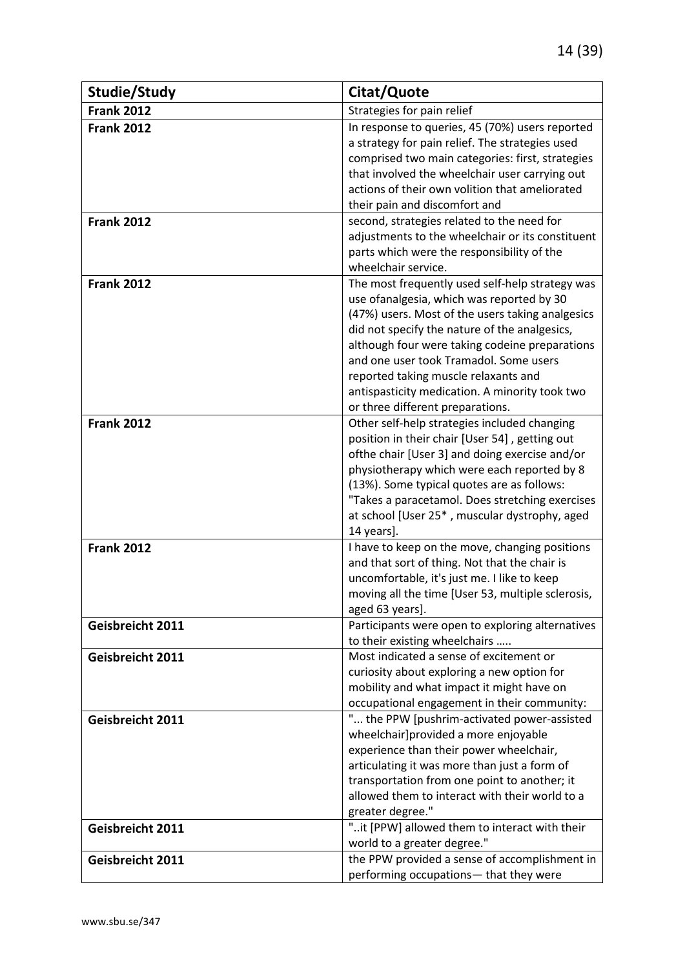| Studie/Study      | Citat/Quote                                                                                      |
|-------------------|--------------------------------------------------------------------------------------------------|
| <b>Frank 2012</b> | Strategies for pain relief                                                                       |
| <b>Frank 2012</b> | In response to queries, 45 (70%) users reported                                                  |
|                   | a strategy for pain relief. The strategies used                                                  |
|                   | comprised two main categories: first, strategies                                                 |
|                   | that involved the wheelchair user carrying out                                                   |
|                   | actions of their own volition that ameliorated                                                   |
|                   | their pain and discomfort and                                                                    |
| <b>Frank 2012</b> | second, strategies related to the need for                                                       |
|                   | adjustments to the wheelchair or its constituent                                                 |
|                   | parts which were the responsibility of the<br>wheelchair service.                                |
| <b>Frank 2012</b> | The most frequently used self-help strategy was                                                  |
|                   | use ofanalgesia, which was reported by 30                                                        |
|                   | (47%) users. Most of the users taking analgesics                                                 |
|                   | did not specify the nature of the analgesics,                                                    |
|                   | although four were taking codeine preparations                                                   |
|                   | and one user took Tramadol. Some users                                                           |
|                   | reported taking muscle relaxants and                                                             |
|                   | antispasticity medication. A minority took two                                                   |
|                   | or three different preparations.                                                                 |
| <b>Frank 2012</b> | Other self-help strategies included changing                                                     |
|                   | position in their chair [User 54], getting out                                                   |
|                   | ofthe chair [User 3] and doing exercise and/or                                                   |
|                   | physiotherapy which were each reported by 8                                                      |
|                   | (13%). Some typical quotes are as follows:                                                       |
|                   | "Takes a paracetamol. Does stretching exercises<br>at school [User 25*, muscular dystrophy, aged |
|                   | 14 years].                                                                                       |
| <b>Frank 2012</b> | I have to keep on the move, changing positions                                                   |
|                   | and that sort of thing. Not that the chair is                                                    |
|                   | uncomfortable, it's just me. I like to keep                                                      |
|                   | moving all the time [User 53, multiple sclerosis,                                                |
|                   | aged 63 years].                                                                                  |
| Geisbreicht 2011  | Participants were open to exploring alternatives                                                 |
|                   | to their existing wheelchairs                                                                    |
| Geisbreicht 2011  | Most indicated a sense of excitement or                                                          |
|                   | curiosity about exploring a new option for                                                       |
|                   | mobility and what impact it might have on                                                        |
| Geisbreicht 2011  | occupational engagement in their community:<br>" the PPW [pushrim-activated power-assisted       |
|                   | wheelchair]provided a more enjoyable                                                             |
|                   | experience than their power wheelchair,                                                          |
|                   | articulating it was more than just a form of                                                     |
|                   | transportation from one point to another; it                                                     |
|                   | allowed them to interact with their world to a                                                   |
|                   | greater degree."                                                                                 |
| Geisbreicht 2011  | "it [PPW] allowed them to interact with their                                                    |
|                   | world to a greater degree."                                                                      |
| Geisbreicht 2011  | the PPW provided a sense of accomplishment in                                                    |
|                   | performing occupations- that they were                                                           |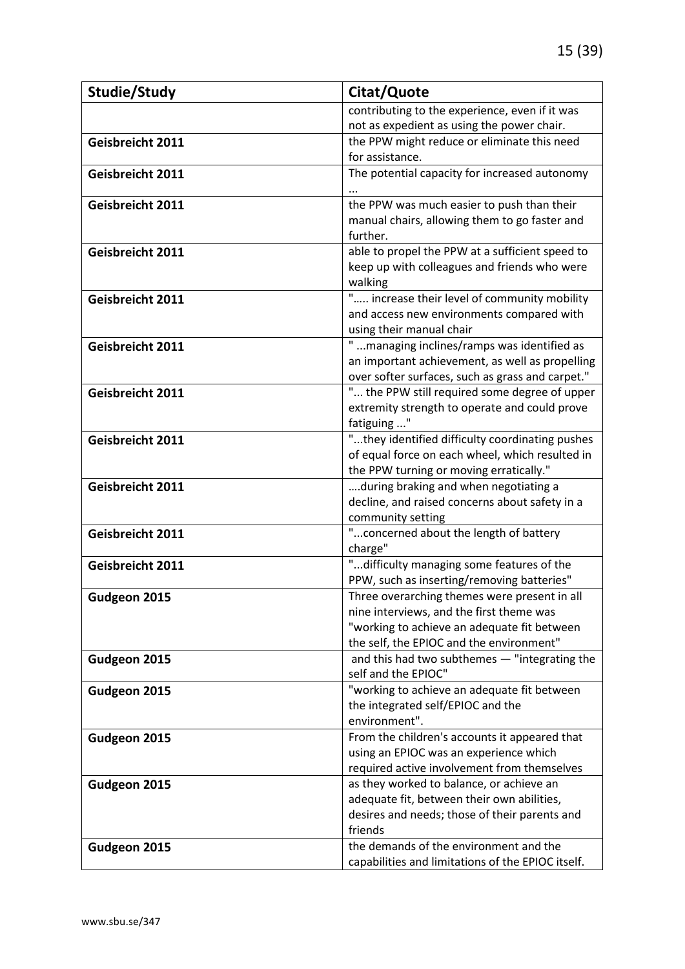| Studie/Study     | Citat/Quote                                                                                    |
|------------------|------------------------------------------------------------------------------------------------|
|                  | contributing to the experience, even if it was                                                 |
|                  | not as expedient as using the power chair.                                                     |
| Geisbreicht 2011 | the PPW might reduce or eliminate this need                                                    |
|                  | for assistance.                                                                                |
| Geisbreicht 2011 | The potential capacity for increased autonomy                                                  |
|                  |                                                                                                |
| Geisbreicht 2011 | the PPW was much easier to push than their                                                     |
|                  | manual chairs, allowing them to go faster and                                                  |
|                  | further.                                                                                       |
| Geisbreicht 2011 | able to propel the PPW at a sufficient speed to                                                |
|                  | keep up with colleagues and friends who were                                                   |
|                  | walking                                                                                        |
| Geisbreicht 2011 | " increase their level of community mobility                                                   |
|                  | and access new environments compared with                                                      |
|                  | using their manual chair                                                                       |
| Geisbreicht 2011 | " managing inclines/ramps was identified as<br>an important achievement, as well as propelling |
|                  | over softer surfaces, such as grass and carpet."                                               |
| Geisbreicht 2011 | " the PPW still required some degree of upper                                                  |
|                  | extremity strength to operate and could prove                                                  |
|                  | fatiguing "                                                                                    |
| Geisbreicht 2011 | "they identified difficulty coordinating pushes                                                |
|                  | of equal force on each wheel, which resulted in                                                |
|                  | the PPW turning or moving erratically."                                                        |
| Geisbreicht 2011 | during braking and when negotiating a                                                          |
|                  | decline, and raised concerns about safety in a                                                 |
|                  | community setting                                                                              |
| Geisbreicht 2011 | " concerned about the length of battery                                                        |
|                  | charge"                                                                                        |
| Geisbreicht 2011 | "difficulty managing some features of the                                                      |
|                  | PPW, such as inserting/removing batteries"                                                     |
| Gudgeon 2015     | Three overarching themes were present in all                                                   |
|                  | nine interviews, and the first theme was                                                       |
|                  | "working to achieve an adequate fit between                                                    |
|                  | the self, the EPIOC and the environment"                                                       |
| Gudgeon 2015     | and this had two subthemes - "integrating the                                                  |
|                  | self and the EPIOC"                                                                            |
| Gudgeon 2015     | "working to achieve an adequate fit between                                                    |
|                  | the integrated self/EPIOC and the<br>environment".                                             |
|                  | From the children's accounts it appeared that                                                  |
| Gudgeon 2015     | using an EPIOC was an experience which                                                         |
|                  | required active involvement from themselves                                                    |
| Gudgeon 2015     | as they worked to balance, or achieve an                                                       |
|                  | adequate fit, between their own abilities,                                                     |
|                  | desires and needs; those of their parents and                                                  |
|                  | friends                                                                                        |
| Gudgeon 2015     | the demands of the environment and the                                                         |
|                  | capabilities and limitations of the EPIOC itself.                                              |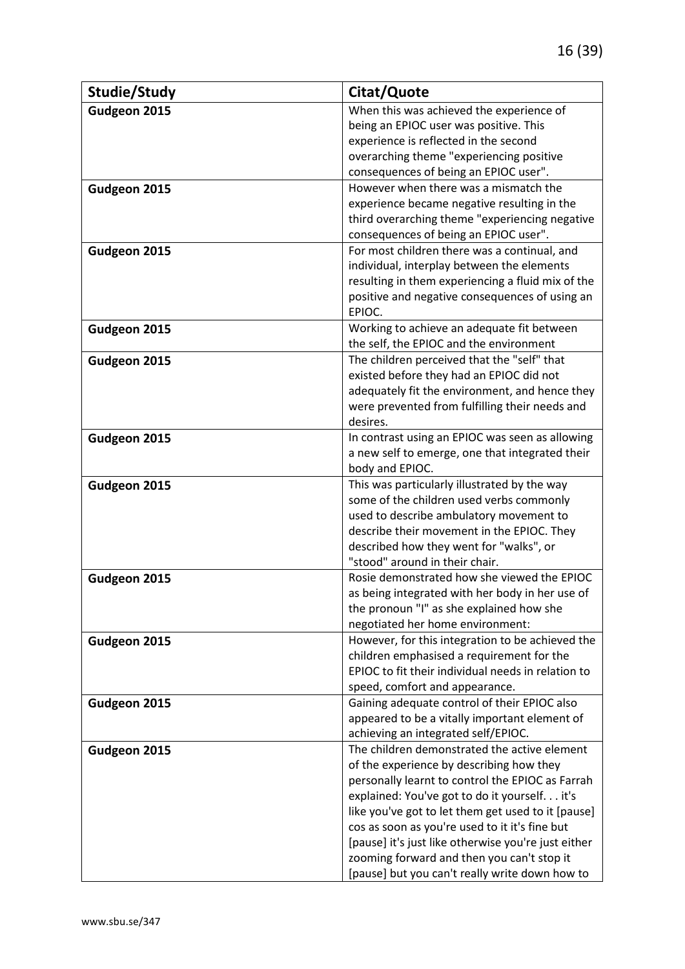| Studie/Study | Citat/Quote                                         |
|--------------|-----------------------------------------------------|
| Gudgeon 2015 | When this was achieved the experience of            |
|              | being an EPIOC user was positive. This              |
|              | experience is reflected in the second               |
|              | overarching theme "experiencing positive            |
|              | consequences of being an EPIOC user".               |
| Gudgeon 2015 | However when there was a mismatch the               |
|              | experience became negative resulting in the         |
|              | third overarching theme "experiencing negative      |
|              | consequences of being an EPIOC user".               |
| Gudgeon 2015 | For most children there was a continual, and        |
|              | individual, interplay between the elements          |
|              | resulting in them experiencing a fluid mix of the   |
|              | positive and negative consequences of using an      |
|              | EPIOC.                                              |
| Gudgeon 2015 | Working to achieve an adequate fit between          |
|              | the self, the EPIOC and the environment             |
| Gudgeon 2015 | The children perceived that the "self" that         |
|              | existed before they had an EPIOC did not            |
|              | adequately fit the environment, and hence they      |
|              | were prevented from fulfilling their needs and      |
|              | desires.                                            |
| Gudgeon 2015 | In contrast using an EPIOC was seen as allowing     |
|              | a new self to emerge, one that integrated their     |
|              | body and EPIOC.                                     |
| Gudgeon 2015 | This was particularly illustrated by the way        |
|              | some of the children used verbs commonly            |
|              | used to describe ambulatory movement to             |
|              | describe their movement in the EPIOC. They          |
|              | described how they went for "walks", or             |
|              | "stood" around in their chair.                      |
| Gudgeon 2015 | Rosie demonstrated how she viewed the EPIOC         |
|              | as being integrated with her body in her use of     |
|              | the pronoun "I" as she explained how she            |
|              | negotiated her home environment:                    |
| Gudgeon 2015 | However, for this integration to be achieved the    |
|              | children emphasised a requirement for the           |
|              | EPIOC to fit their individual needs in relation to  |
|              | speed, comfort and appearance.                      |
| Gudgeon 2015 | Gaining adequate control of their EPIOC also        |
|              | appeared to be a vitally important element of       |
|              | achieving an integrated self/EPIOC.                 |
| Gudgeon 2015 | The children demonstrated the active element        |
|              | of the experience by describing how they            |
|              | personally learnt to control the EPIOC as Farrah    |
|              | explained: You've got to do it yourself. it's       |
|              | like you've got to let them get used to it [pause]  |
|              | cos as soon as you're used to it it's fine but      |
|              | [pause] it's just like otherwise you're just either |
|              | zooming forward and then you can't stop it          |
|              | [pause] but you can't really write down how to      |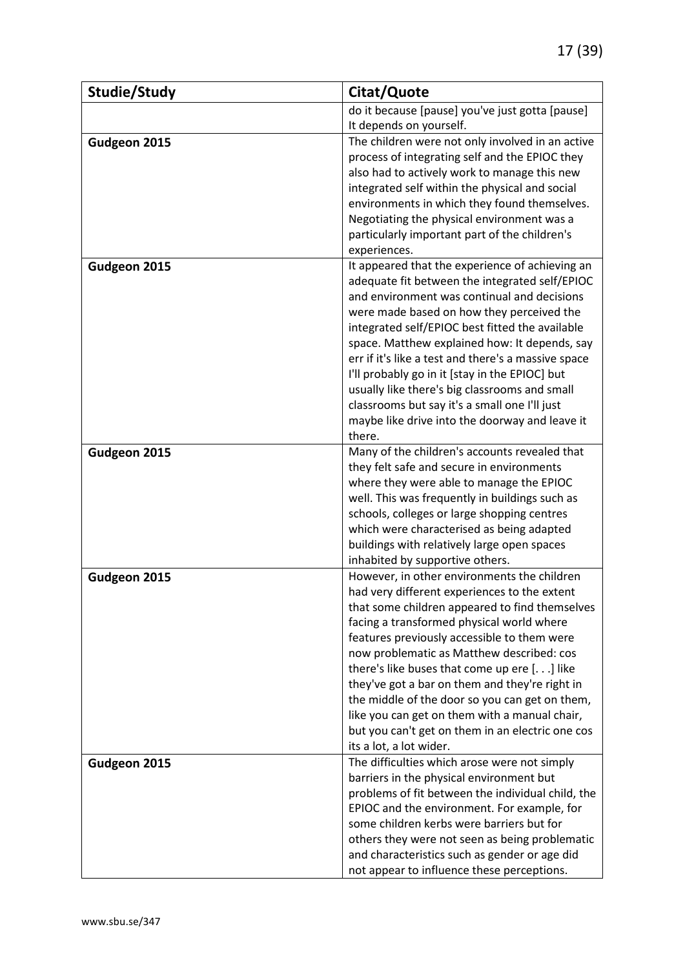| do it because [pause] you've just gotta [pause]<br>It depends on yourself.<br>The children were not only involved in an active<br>Gudgeon 2015<br>process of integrating self and the EPIOC they<br>also had to actively work to manage this new<br>integrated self within the physical and social<br>environments in which they found themselves.<br>Negotiating the physical environment was a<br>particularly important part of the children's<br>experiences.<br>It appeared that the experience of achieving an<br>Gudgeon 2015<br>adequate fit between the integrated self/EPIOC<br>and environment was continual and decisions<br>were made based on how they perceived the<br>integrated self/EPIOC best fitted the available<br>space. Matthew explained how: It depends, say<br>err if it's like a test and there's a massive space<br>I'll probably go in it [stay in the EPIOC] but<br>usually like there's big classrooms and small<br>classrooms but say it's a small one I'll just<br>maybe like drive into the doorway and leave it<br>there.<br>Many of the children's accounts revealed that<br>Gudgeon 2015<br>they felt safe and secure in environments<br>where they were able to manage the EPIOC<br>well. This was frequently in buildings such as<br>schools, colleges or large shopping centres<br>which were characterised as being adapted<br>buildings with relatively large open spaces<br>inhabited by supportive others.<br>However, in other environments the children<br>Gudgeon 2015<br>had very different experiences to the extent<br>that some children appeared to find themselves<br>facing a transformed physical world where<br>features previously accessible to them were<br>now problematic as Matthew described: cos<br>there's like buses that come up ere [] like<br>they've got a bar on them and they're right in<br>the middle of the door so you can get on them,<br>like you can get on them with a manual chair,<br>but you can't get on them in an electric one cos<br>its a lot, a lot wider.<br>The difficulties which arose were not simply<br>Gudgeon 2015<br>barriers in the physical environment but | Studie/Study | Citat/Quote |
|------------------------------------------------------------------------------------------------------------------------------------------------------------------------------------------------------------------------------------------------------------------------------------------------------------------------------------------------------------------------------------------------------------------------------------------------------------------------------------------------------------------------------------------------------------------------------------------------------------------------------------------------------------------------------------------------------------------------------------------------------------------------------------------------------------------------------------------------------------------------------------------------------------------------------------------------------------------------------------------------------------------------------------------------------------------------------------------------------------------------------------------------------------------------------------------------------------------------------------------------------------------------------------------------------------------------------------------------------------------------------------------------------------------------------------------------------------------------------------------------------------------------------------------------------------------------------------------------------------------------------------------------------------------------------------------------------------------------------------------------------------------------------------------------------------------------------------------------------------------------------------------------------------------------------------------------------------------------------------------------------------------------------------------------------------------------------------------------------------------------------------------------------------------|--------------|-------------|
|                                                                                                                                                                                                                                                                                                                                                                                                                                                                                                                                                                                                                                                                                                                                                                                                                                                                                                                                                                                                                                                                                                                                                                                                                                                                                                                                                                                                                                                                                                                                                                                                                                                                                                                                                                                                                                                                                                                                                                                                                                                                                                                                                                  |              |             |
|                                                                                                                                                                                                                                                                                                                                                                                                                                                                                                                                                                                                                                                                                                                                                                                                                                                                                                                                                                                                                                                                                                                                                                                                                                                                                                                                                                                                                                                                                                                                                                                                                                                                                                                                                                                                                                                                                                                                                                                                                                                                                                                                                                  |              |             |
|                                                                                                                                                                                                                                                                                                                                                                                                                                                                                                                                                                                                                                                                                                                                                                                                                                                                                                                                                                                                                                                                                                                                                                                                                                                                                                                                                                                                                                                                                                                                                                                                                                                                                                                                                                                                                                                                                                                                                                                                                                                                                                                                                                  |              |             |
|                                                                                                                                                                                                                                                                                                                                                                                                                                                                                                                                                                                                                                                                                                                                                                                                                                                                                                                                                                                                                                                                                                                                                                                                                                                                                                                                                                                                                                                                                                                                                                                                                                                                                                                                                                                                                                                                                                                                                                                                                                                                                                                                                                  |              |             |
|                                                                                                                                                                                                                                                                                                                                                                                                                                                                                                                                                                                                                                                                                                                                                                                                                                                                                                                                                                                                                                                                                                                                                                                                                                                                                                                                                                                                                                                                                                                                                                                                                                                                                                                                                                                                                                                                                                                                                                                                                                                                                                                                                                  |              |             |
|                                                                                                                                                                                                                                                                                                                                                                                                                                                                                                                                                                                                                                                                                                                                                                                                                                                                                                                                                                                                                                                                                                                                                                                                                                                                                                                                                                                                                                                                                                                                                                                                                                                                                                                                                                                                                                                                                                                                                                                                                                                                                                                                                                  |              |             |
|                                                                                                                                                                                                                                                                                                                                                                                                                                                                                                                                                                                                                                                                                                                                                                                                                                                                                                                                                                                                                                                                                                                                                                                                                                                                                                                                                                                                                                                                                                                                                                                                                                                                                                                                                                                                                                                                                                                                                                                                                                                                                                                                                                  |              |             |
|                                                                                                                                                                                                                                                                                                                                                                                                                                                                                                                                                                                                                                                                                                                                                                                                                                                                                                                                                                                                                                                                                                                                                                                                                                                                                                                                                                                                                                                                                                                                                                                                                                                                                                                                                                                                                                                                                                                                                                                                                                                                                                                                                                  |              |             |
|                                                                                                                                                                                                                                                                                                                                                                                                                                                                                                                                                                                                                                                                                                                                                                                                                                                                                                                                                                                                                                                                                                                                                                                                                                                                                                                                                                                                                                                                                                                                                                                                                                                                                                                                                                                                                                                                                                                                                                                                                                                                                                                                                                  |              |             |
|                                                                                                                                                                                                                                                                                                                                                                                                                                                                                                                                                                                                                                                                                                                                                                                                                                                                                                                                                                                                                                                                                                                                                                                                                                                                                                                                                                                                                                                                                                                                                                                                                                                                                                                                                                                                                                                                                                                                                                                                                                                                                                                                                                  |              |             |
|                                                                                                                                                                                                                                                                                                                                                                                                                                                                                                                                                                                                                                                                                                                                                                                                                                                                                                                                                                                                                                                                                                                                                                                                                                                                                                                                                                                                                                                                                                                                                                                                                                                                                                                                                                                                                                                                                                                                                                                                                                                                                                                                                                  |              |             |
|                                                                                                                                                                                                                                                                                                                                                                                                                                                                                                                                                                                                                                                                                                                                                                                                                                                                                                                                                                                                                                                                                                                                                                                                                                                                                                                                                                                                                                                                                                                                                                                                                                                                                                                                                                                                                                                                                                                                                                                                                                                                                                                                                                  |              |             |
|                                                                                                                                                                                                                                                                                                                                                                                                                                                                                                                                                                                                                                                                                                                                                                                                                                                                                                                                                                                                                                                                                                                                                                                                                                                                                                                                                                                                                                                                                                                                                                                                                                                                                                                                                                                                                                                                                                                                                                                                                                                                                                                                                                  |              |             |
|                                                                                                                                                                                                                                                                                                                                                                                                                                                                                                                                                                                                                                                                                                                                                                                                                                                                                                                                                                                                                                                                                                                                                                                                                                                                                                                                                                                                                                                                                                                                                                                                                                                                                                                                                                                                                                                                                                                                                                                                                                                                                                                                                                  |              |             |
|                                                                                                                                                                                                                                                                                                                                                                                                                                                                                                                                                                                                                                                                                                                                                                                                                                                                                                                                                                                                                                                                                                                                                                                                                                                                                                                                                                                                                                                                                                                                                                                                                                                                                                                                                                                                                                                                                                                                                                                                                                                                                                                                                                  |              |             |
|                                                                                                                                                                                                                                                                                                                                                                                                                                                                                                                                                                                                                                                                                                                                                                                                                                                                                                                                                                                                                                                                                                                                                                                                                                                                                                                                                                                                                                                                                                                                                                                                                                                                                                                                                                                                                                                                                                                                                                                                                                                                                                                                                                  |              |             |
|                                                                                                                                                                                                                                                                                                                                                                                                                                                                                                                                                                                                                                                                                                                                                                                                                                                                                                                                                                                                                                                                                                                                                                                                                                                                                                                                                                                                                                                                                                                                                                                                                                                                                                                                                                                                                                                                                                                                                                                                                                                                                                                                                                  |              |             |
|                                                                                                                                                                                                                                                                                                                                                                                                                                                                                                                                                                                                                                                                                                                                                                                                                                                                                                                                                                                                                                                                                                                                                                                                                                                                                                                                                                                                                                                                                                                                                                                                                                                                                                                                                                                                                                                                                                                                                                                                                                                                                                                                                                  |              |             |
|                                                                                                                                                                                                                                                                                                                                                                                                                                                                                                                                                                                                                                                                                                                                                                                                                                                                                                                                                                                                                                                                                                                                                                                                                                                                                                                                                                                                                                                                                                                                                                                                                                                                                                                                                                                                                                                                                                                                                                                                                                                                                                                                                                  |              |             |
|                                                                                                                                                                                                                                                                                                                                                                                                                                                                                                                                                                                                                                                                                                                                                                                                                                                                                                                                                                                                                                                                                                                                                                                                                                                                                                                                                                                                                                                                                                                                                                                                                                                                                                                                                                                                                                                                                                                                                                                                                                                                                                                                                                  |              |             |
|                                                                                                                                                                                                                                                                                                                                                                                                                                                                                                                                                                                                                                                                                                                                                                                                                                                                                                                                                                                                                                                                                                                                                                                                                                                                                                                                                                                                                                                                                                                                                                                                                                                                                                                                                                                                                                                                                                                                                                                                                                                                                                                                                                  |              |             |
|                                                                                                                                                                                                                                                                                                                                                                                                                                                                                                                                                                                                                                                                                                                                                                                                                                                                                                                                                                                                                                                                                                                                                                                                                                                                                                                                                                                                                                                                                                                                                                                                                                                                                                                                                                                                                                                                                                                                                                                                                                                                                                                                                                  |              |             |
|                                                                                                                                                                                                                                                                                                                                                                                                                                                                                                                                                                                                                                                                                                                                                                                                                                                                                                                                                                                                                                                                                                                                                                                                                                                                                                                                                                                                                                                                                                                                                                                                                                                                                                                                                                                                                                                                                                                                                                                                                                                                                                                                                                  |              |             |
|                                                                                                                                                                                                                                                                                                                                                                                                                                                                                                                                                                                                                                                                                                                                                                                                                                                                                                                                                                                                                                                                                                                                                                                                                                                                                                                                                                                                                                                                                                                                                                                                                                                                                                                                                                                                                                                                                                                                                                                                                                                                                                                                                                  |              |             |
|                                                                                                                                                                                                                                                                                                                                                                                                                                                                                                                                                                                                                                                                                                                                                                                                                                                                                                                                                                                                                                                                                                                                                                                                                                                                                                                                                                                                                                                                                                                                                                                                                                                                                                                                                                                                                                                                                                                                                                                                                                                                                                                                                                  |              |             |
|                                                                                                                                                                                                                                                                                                                                                                                                                                                                                                                                                                                                                                                                                                                                                                                                                                                                                                                                                                                                                                                                                                                                                                                                                                                                                                                                                                                                                                                                                                                                                                                                                                                                                                                                                                                                                                                                                                                                                                                                                                                                                                                                                                  |              |             |
|                                                                                                                                                                                                                                                                                                                                                                                                                                                                                                                                                                                                                                                                                                                                                                                                                                                                                                                                                                                                                                                                                                                                                                                                                                                                                                                                                                                                                                                                                                                                                                                                                                                                                                                                                                                                                                                                                                                                                                                                                                                                                                                                                                  |              |             |
|                                                                                                                                                                                                                                                                                                                                                                                                                                                                                                                                                                                                                                                                                                                                                                                                                                                                                                                                                                                                                                                                                                                                                                                                                                                                                                                                                                                                                                                                                                                                                                                                                                                                                                                                                                                                                                                                                                                                                                                                                                                                                                                                                                  |              |             |
|                                                                                                                                                                                                                                                                                                                                                                                                                                                                                                                                                                                                                                                                                                                                                                                                                                                                                                                                                                                                                                                                                                                                                                                                                                                                                                                                                                                                                                                                                                                                                                                                                                                                                                                                                                                                                                                                                                                                                                                                                                                                                                                                                                  |              |             |
|                                                                                                                                                                                                                                                                                                                                                                                                                                                                                                                                                                                                                                                                                                                                                                                                                                                                                                                                                                                                                                                                                                                                                                                                                                                                                                                                                                                                                                                                                                                                                                                                                                                                                                                                                                                                                                                                                                                                                                                                                                                                                                                                                                  |              |             |
|                                                                                                                                                                                                                                                                                                                                                                                                                                                                                                                                                                                                                                                                                                                                                                                                                                                                                                                                                                                                                                                                                                                                                                                                                                                                                                                                                                                                                                                                                                                                                                                                                                                                                                                                                                                                                                                                                                                                                                                                                                                                                                                                                                  |              |             |
|                                                                                                                                                                                                                                                                                                                                                                                                                                                                                                                                                                                                                                                                                                                                                                                                                                                                                                                                                                                                                                                                                                                                                                                                                                                                                                                                                                                                                                                                                                                                                                                                                                                                                                                                                                                                                                                                                                                                                                                                                                                                                                                                                                  |              |             |
|                                                                                                                                                                                                                                                                                                                                                                                                                                                                                                                                                                                                                                                                                                                                                                                                                                                                                                                                                                                                                                                                                                                                                                                                                                                                                                                                                                                                                                                                                                                                                                                                                                                                                                                                                                                                                                                                                                                                                                                                                                                                                                                                                                  |              |             |
|                                                                                                                                                                                                                                                                                                                                                                                                                                                                                                                                                                                                                                                                                                                                                                                                                                                                                                                                                                                                                                                                                                                                                                                                                                                                                                                                                                                                                                                                                                                                                                                                                                                                                                                                                                                                                                                                                                                                                                                                                                                                                                                                                                  |              |             |
|                                                                                                                                                                                                                                                                                                                                                                                                                                                                                                                                                                                                                                                                                                                                                                                                                                                                                                                                                                                                                                                                                                                                                                                                                                                                                                                                                                                                                                                                                                                                                                                                                                                                                                                                                                                                                                                                                                                                                                                                                                                                                                                                                                  |              |             |
|                                                                                                                                                                                                                                                                                                                                                                                                                                                                                                                                                                                                                                                                                                                                                                                                                                                                                                                                                                                                                                                                                                                                                                                                                                                                                                                                                                                                                                                                                                                                                                                                                                                                                                                                                                                                                                                                                                                                                                                                                                                                                                                                                                  |              |             |
|                                                                                                                                                                                                                                                                                                                                                                                                                                                                                                                                                                                                                                                                                                                                                                                                                                                                                                                                                                                                                                                                                                                                                                                                                                                                                                                                                                                                                                                                                                                                                                                                                                                                                                                                                                                                                                                                                                                                                                                                                                                                                                                                                                  |              |             |
|                                                                                                                                                                                                                                                                                                                                                                                                                                                                                                                                                                                                                                                                                                                                                                                                                                                                                                                                                                                                                                                                                                                                                                                                                                                                                                                                                                                                                                                                                                                                                                                                                                                                                                                                                                                                                                                                                                                                                                                                                                                                                                                                                                  |              |             |
|                                                                                                                                                                                                                                                                                                                                                                                                                                                                                                                                                                                                                                                                                                                                                                                                                                                                                                                                                                                                                                                                                                                                                                                                                                                                                                                                                                                                                                                                                                                                                                                                                                                                                                                                                                                                                                                                                                                                                                                                                                                                                                                                                                  |              |             |
|                                                                                                                                                                                                                                                                                                                                                                                                                                                                                                                                                                                                                                                                                                                                                                                                                                                                                                                                                                                                                                                                                                                                                                                                                                                                                                                                                                                                                                                                                                                                                                                                                                                                                                                                                                                                                                                                                                                                                                                                                                                                                                                                                                  |              |             |
|                                                                                                                                                                                                                                                                                                                                                                                                                                                                                                                                                                                                                                                                                                                                                                                                                                                                                                                                                                                                                                                                                                                                                                                                                                                                                                                                                                                                                                                                                                                                                                                                                                                                                                                                                                                                                                                                                                                                                                                                                                                                                                                                                                  |              |             |
|                                                                                                                                                                                                                                                                                                                                                                                                                                                                                                                                                                                                                                                                                                                                                                                                                                                                                                                                                                                                                                                                                                                                                                                                                                                                                                                                                                                                                                                                                                                                                                                                                                                                                                                                                                                                                                                                                                                                                                                                                                                                                                                                                                  |              |             |
|                                                                                                                                                                                                                                                                                                                                                                                                                                                                                                                                                                                                                                                                                                                                                                                                                                                                                                                                                                                                                                                                                                                                                                                                                                                                                                                                                                                                                                                                                                                                                                                                                                                                                                                                                                                                                                                                                                                                                                                                                                                                                                                                                                  |              |             |
| problems of fit between the individual child, the                                                                                                                                                                                                                                                                                                                                                                                                                                                                                                                                                                                                                                                                                                                                                                                                                                                                                                                                                                                                                                                                                                                                                                                                                                                                                                                                                                                                                                                                                                                                                                                                                                                                                                                                                                                                                                                                                                                                                                                                                                                                                                                |              |             |
| EPIOC and the environment. For example, for<br>some children kerbs were barriers but for                                                                                                                                                                                                                                                                                                                                                                                                                                                                                                                                                                                                                                                                                                                                                                                                                                                                                                                                                                                                                                                                                                                                                                                                                                                                                                                                                                                                                                                                                                                                                                                                                                                                                                                                                                                                                                                                                                                                                                                                                                                                         |              |             |
| others they were not seen as being problematic                                                                                                                                                                                                                                                                                                                                                                                                                                                                                                                                                                                                                                                                                                                                                                                                                                                                                                                                                                                                                                                                                                                                                                                                                                                                                                                                                                                                                                                                                                                                                                                                                                                                                                                                                                                                                                                                                                                                                                                                                                                                                                                   |              |             |
| and characteristics such as gender or age did                                                                                                                                                                                                                                                                                                                                                                                                                                                                                                                                                                                                                                                                                                                                                                                                                                                                                                                                                                                                                                                                                                                                                                                                                                                                                                                                                                                                                                                                                                                                                                                                                                                                                                                                                                                                                                                                                                                                                                                                                                                                                                                    |              |             |
| not appear to influence these perceptions.                                                                                                                                                                                                                                                                                                                                                                                                                                                                                                                                                                                                                                                                                                                                                                                                                                                                                                                                                                                                                                                                                                                                                                                                                                                                                                                                                                                                                                                                                                                                                                                                                                                                                                                                                                                                                                                                                                                                                                                                                                                                                                                       |              |             |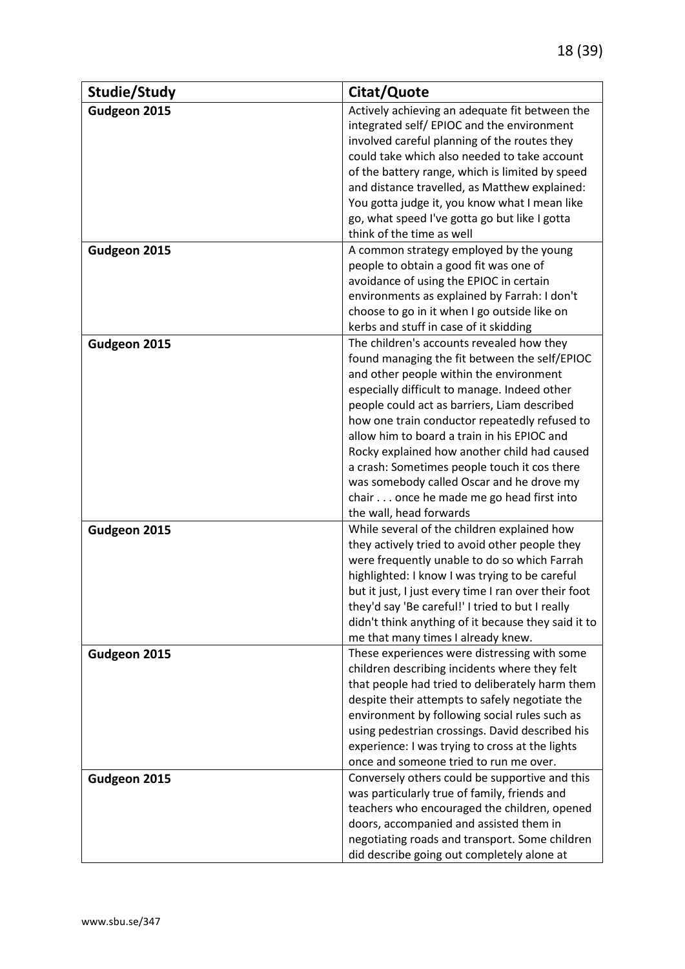| Studie/Study | Citat/Quote                                                                                                                                                                                                                                                                                                                                                                                                                                                                                                                                               |
|--------------|-----------------------------------------------------------------------------------------------------------------------------------------------------------------------------------------------------------------------------------------------------------------------------------------------------------------------------------------------------------------------------------------------------------------------------------------------------------------------------------------------------------------------------------------------------------|
| Gudgeon 2015 | Actively achieving an adequate fit between the<br>integrated self/EPIOC and the environment<br>involved careful planning of the routes they<br>could take which also needed to take account<br>of the battery range, which is limited by speed<br>and distance travelled, as Matthew explained:<br>You gotta judge it, you know what I mean like<br>go, what speed I've gotta go but like I gotta<br>think of the time as well                                                                                                                            |
| Gudgeon 2015 | A common strategy employed by the young<br>people to obtain a good fit was one of<br>avoidance of using the EPIOC in certain<br>environments as explained by Farrah: I don't<br>choose to go in it when I go outside like on<br>kerbs and stuff in case of it skidding                                                                                                                                                                                                                                                                                    |
| Gudgeon 2015 | The children's accounts revealed how they<br>found managing the fit between the self/EPIOC<br>and other people within the environment<br>especially difficult to manage. Indeed other<br>people could act as barriers, Liam described<br>how one train conductor repeatedly refused to<br>allow him to board a train in his EPIOC and<br>Rocky explained how another child had caused<br>a crash: Sometimes people touch it cos there<br>was somebody called Oscar and he drove my<br>chair once he made me go head first into<br>the wall, head forwards |
| Gudgeon 2015 | While several of the children explained how<br>they actively tried to avoid other people they<br>were frequently unable to do so which Farrah<br>highlighted: I know I was trying to be careful<br>but it just, I just every time I ran over their foot<br>they'd say 'Be careful!' I tried to but I really<br>didn't think anything of it because they said it to<br>me that many times I already knew.                                                                                                                                                  |
| Gudgeon 2015 | These experiences were distressing with some<br>children describing incidents where they felt<br>that people had tried to deliberately harm them<br>despite their attempts to safely negotiate the<br>environment by following social rules such as<br>using pedestrian crossings. David described his<br>experience: I was trying to cross at the lights<br>once and someone tried to run me over.                                                                                                                                                       |
| Gudgeon 2015 | Conversely others could be supportive and this<br>was particularly true of family, friends and<br>teachers who encouraged the children, opened<br>doors, accompanied and assisted them in<br>negotiating roads and transport. Some children<br>did describe going out completely alone at                                                                                                                                                                                                                                                                 |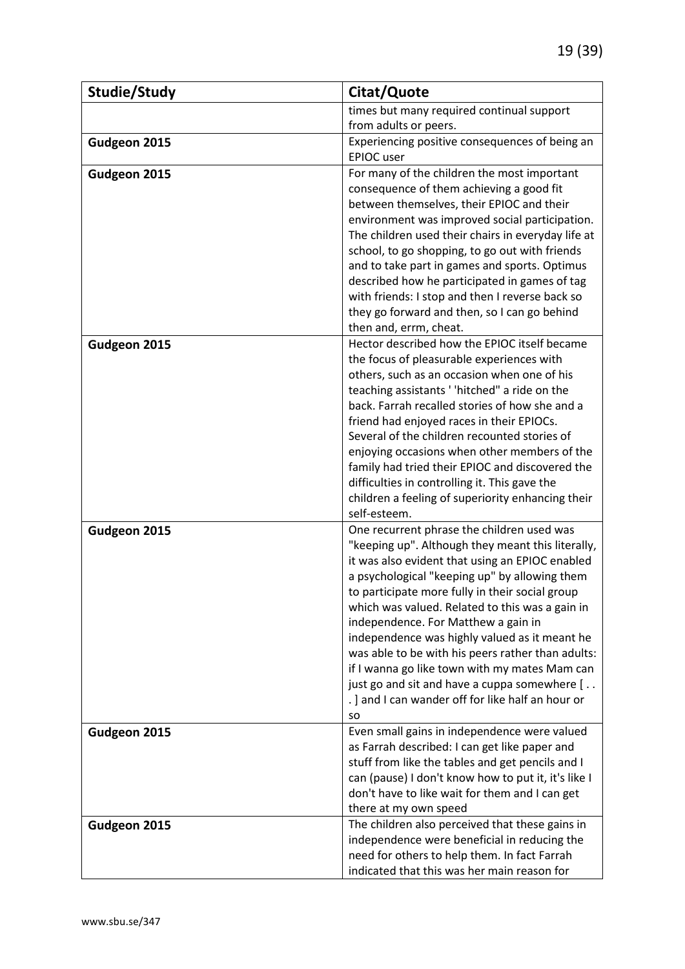| Studie/Study | Citat/Quote                                                                                     |
|--------------|-------------------------------------------------------------------------------------------------|
|              | times but many required continual support                                                       |
|              | from adults or peers.                                                                           |
| Gudgeon 2015 | Experiencing positive consequences of being an                                                  |
|              | <b>EPIOC</b> user                                                                               |
| Gudgeon 2015 | For many of the children the most important                                                     |
|              | consequence of them achieving a good fit                                                        |
|              | between themselves, their EPIOC and their                                                       |
|              | environment was improved social participation.                                                  |
|              | The children used their chairs in everyday life at                                              |
|              | school, to go shopping, to go out with friends                                                  |
|              | and to take part in games and sports. Optimus                                                   |
|              | described how he participated in games of tag                                                   |
|              | with friends: I stop and then I reverse back so<br>they go forward and then, so I can go behind |
|              | then and, errm, cheat.                                                                          |
| Gudgeon 2015 | Hector described how the EPIOC itself became                                                    |
|              | the focus of pleasurable experiences with                                                       |
|              | others, such as an occasion when one of his                                                     |
|              | teaching assistants ' 'hitched" a ride on the                                                   |
|              | back. Farrah recalled stories of how she and a                                                  |
|              | friend had enjoyed races in their EPIOCs.                                                       |
|              | Several of the children recounted stories of                                                    |
|              | enjoying occasions when other members of the                                                    |
|              | family had tried their EPIOC and discovered the                                                 |
|              | difficulties in controlling it. This gave the                                                   |
|              | children a feeling of superiority enhancing their                                               |
|              | self-esteem.                                                                                    |
| Gudgeon 2015 | One recurrent phrase the children used was                                                      |
|              | "keeping up". Although they meant this literally,                                               |
|              | it was also evident that using an EPIOC enabled                                                 |
|              | a psychological "keeping up" by allowing them                                                   |
|              | to participate more fully in their social group                                                 |
|              | which was valued. Related to this was a gain in<br>independence. For Matthew a gain in          |
|              | independence was highly valued as it meant he                                                   |
|              | was able to be with his peers rather than adults:                                               |
|              | if I wanna go like town with my mates Mam can                                                   |
|              | just go and sit and have a cuppa somewhere [                                                    |
|              | .] and I can wander off for like half an hour or                                                |
|              | <b>SO</b>                                                                                       |
| Gudgeon 2015 | Even small gains in independence were valued                                                    |
|              | as Farrah described: I can get like paper and                                                   |
|              | stuff from like the tables and get pencils and I                                                |
|              | can (pause) I don't know how to put it, it's like I                                             |
|              | don't have to like wait for them and I can get                                                  |
|              | there at my own speed                                                                           |
| Gudgeon 2015 | The children also perceived that these gains in                                                 |
|              | independence were beneficial in reducing the                                                    |
|              | need for others to help them. In fact Farrah                                                    |
|              | indicated that this was her main reason for                                                     |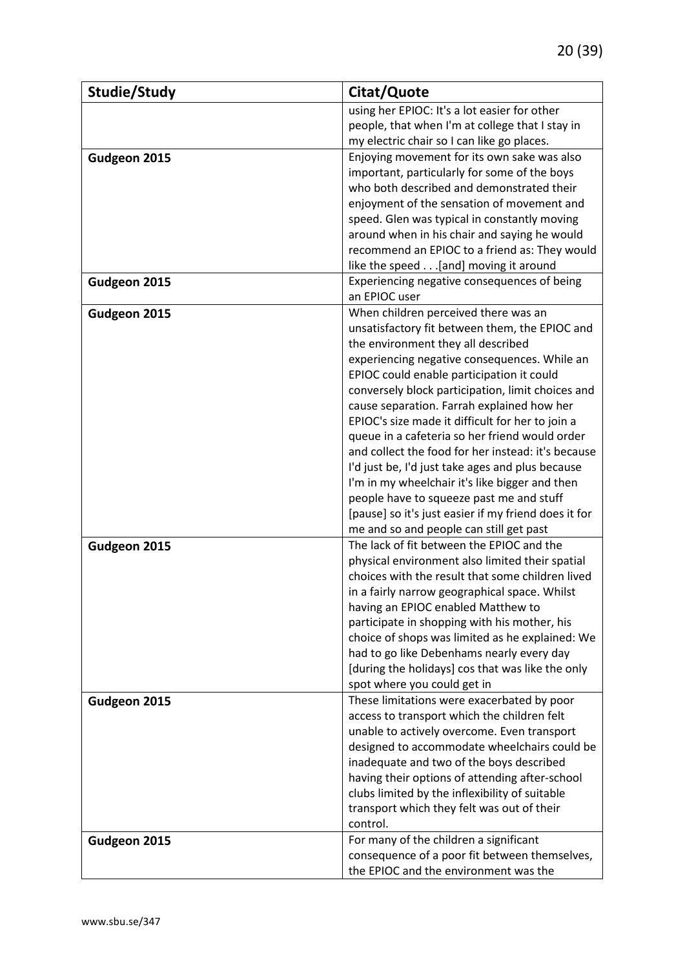| Studie/Study | Citat/Quote                                                                                     |
|--------------|-------------------------------------------------------------------------------------------------|
|              | using her EPIOC: It's a lot easier for other                                                    |
|              | people, that when I'm at college that I stay in                                                 |
|              | my electric chair so I can like go places.                                                      |
| Gudgeon 2015 | Enjoying movement for its own sake was also                                                     |
|              | important, particularly for some of the boys                                                    |
|              | who both described and demonstrated their                                                       |
|              | enjoyment of the sensation of movement and                                                      |
|              | speed. Glen was typical in constantly moving                                                    |
|              | around when in his chair and saying he would                                                    |
|              | recommend an EPIOC to a friend as: They would                                                   |
|              | like the speed [and] moving it around                                                           |
| Gudgeon 2015 | Experiencing negative consequences of being                                                     |
|              | an EPIOC user                                                                                   |
| Gudgeon 2015 | When children perceived there was an                                                            |
|              | unsatisfactory fit between them, the EPIOC and                                                  |
|              | the environment they all described                                                              |
|              | experiencing negative consequences. While an                                                    |
|              | EPIOC could enable participation it could                                                       |
|              | conversely block participation, limit choices and                                               |
|              | cause separation. Farrah explained how her                                                      |
|              | EPIOC's size made it difficult for her to join a                                                |
|              | queue in a cafeteria so her friend would order                                                  |
|              | and collect the food for her instead: it's because                                              |
|              | I'd just be, I'd just take ages and plus because                                                |
|              | I'm in my wheelchair it's like bigger and then                                                  |
|              | people have to squeeze past me and stuff                                                        |
|              | [pause] so it's just easier if my friend does it for<br>me and so and people can still get past |
|              | The lack of fit between the EPIOC and the                                                       |
| Gudgeon 2015 | physical environment also limited their spatial                                                 |
|              | choices with the result that some children lived                                                |
|              | in a fairly narrow geographical space. Whilst                                                   |
|              | having an EPIOC enabled Matthew to                                                              |
|              | participate in shopping with his mother, his                                                    |
|              | choice of shops was limited as he explained: We                                                 |
|              | had to go like Debenhams nearly every day                                                       |
|              | [during the holidays] cos that was like the only                                                |
|              | spot where you could get in                                                                     |
| Gudgeon 2015 | These limitations were exacerbated by poor                                                      |
|              | access to transport which the children felt                                                     |
|              | unable to actively overcome. Even transport                                                     |
|              | designed to accommodate wheelchairs could be                                                    |
|              | inadequate and two of the boys described                                                        |
|              | having their options of attending after-school                                                  |
|              | clubs limited by the inflexibility of suitable                                                  |
|              | transport which they felt was out of their                                                      |
|              | control.                                                                                        |
| Gudgeon 2015 | For many of the children a significant                                                          |
|              | consequence of a poor fit between themselves,                                                   |
|              | the EPIOC and the environment was the                                                           |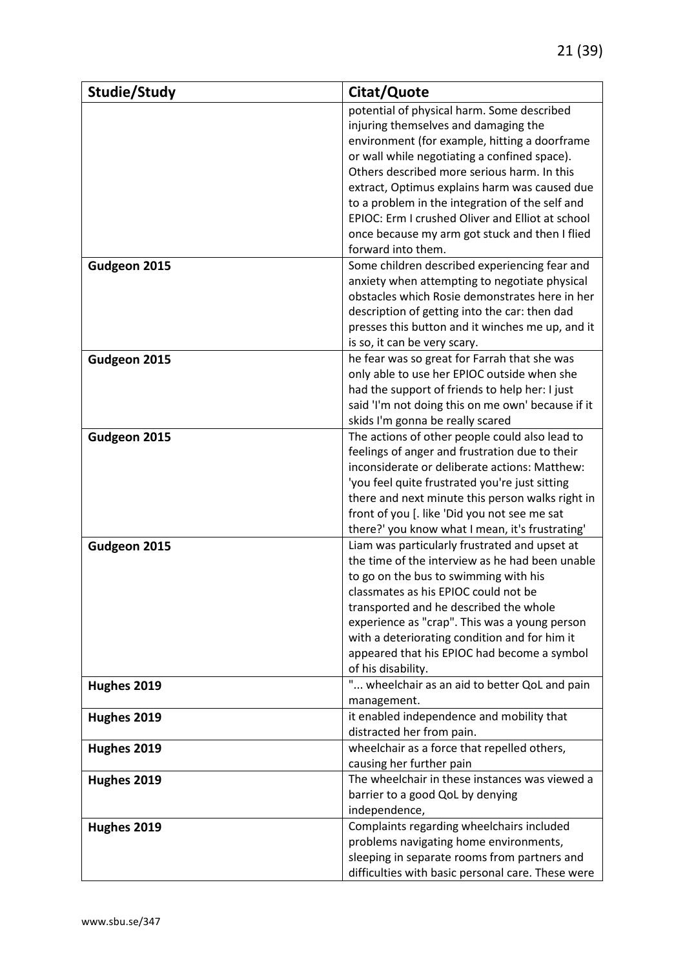| Studie/Study | Citat/Quote                                                             |
|--------------|-------------------------------------------------------------------------|
|              | potential of physical harm. Some described                              |
|              | injuring themselves and damaging the                                    |
|              | environment (for example, hitting a doorframe                           |
|              | or wall while negotiating a confined space).                            |
|              | Others described more serious harm. In this                             |
|              | extract, Optimus explains harm was caused due                           |
|              | to a problem in the integration of the self and                         |
|              | EPIOC: Erm I crushed Oliver and Elliot at school                        |
|              | once because my arm got stuck and then I flied                          |
|              | forward into them.                                                      |
| Gudgeon 2015 | Some children described experiencing fear and                           |
|              | anxiety when attempting to negotiate physical                           |
|              | obstacles which Rosie demonstrates here in her                          |
|              | description of getting into the car: then dad                           |
|              | presses this button and it winches me up, and it                        |
|              | is so, it can be very scary.                                            |
| Gudgeon 2015 | he fear was so great for Farrah that she was                            |
|              | only able to use her EPIOC outside when she                             |
|              | had the support of friends to help her: I just                          |
|              | said 'I'm not doing this on me own' because if it                       |
|              | skids I'm gonna be really scared                                        |
| Gudgeon 2015 | The actions of other people could also lead to                          |
|              | feelings of anger and frustration due to their                          |
|              | inconsiderate or deliberate actions: Matthew:                           |
|              | 'you feel quite frustrated you're just sitting                          |
|              | there and next minute this person walks right in                        |
|              | front of you [. like 'Did you not see me sat                            |
|              | there?' you know what I mean, it's frustrating'                         |
| Gudgeon 2015 | Liam was particularly frustrated and upset at                           |
|              | the time of the interview as he had been unable                         |
|              | to go on the bus to swimming with his                                   |
|              | classmates as his EPIOC could not be                                    |
|              | transported and he described the whole                                  |
|              | experience as "crap". This was a young person                           |
|              | with a deteriorating condition and for him it                           |
|              | appeared that his EPIOC had become a symbol                             |
|              | of his disability.                                                      |
| Hughes 2019  | " wheelchair as an aid to better QoL and pain                           |
|              | management.                                                             |
| Hughes 2019  | it enabled independence and mobility that                               |
|              | distracted her from pain.                                               |
| Hughes 2019  | wheelchair as a force that repelled others,<br>causing her further pain |
|              | The wheelchair in these instances was viewed a                          |
| Hughes 2019  | barrier to a good QoL by denying                                        |
|              |                                                                         |
|              | independence,                                                           |
| Hughes 2019  | Complaints regarding wheelchairs included                               |
|              | problems navigating home environments,                                  |
|              | sleeping in separate rooms from partners and                            |
|              | difficulties with basic personal care. These were                       |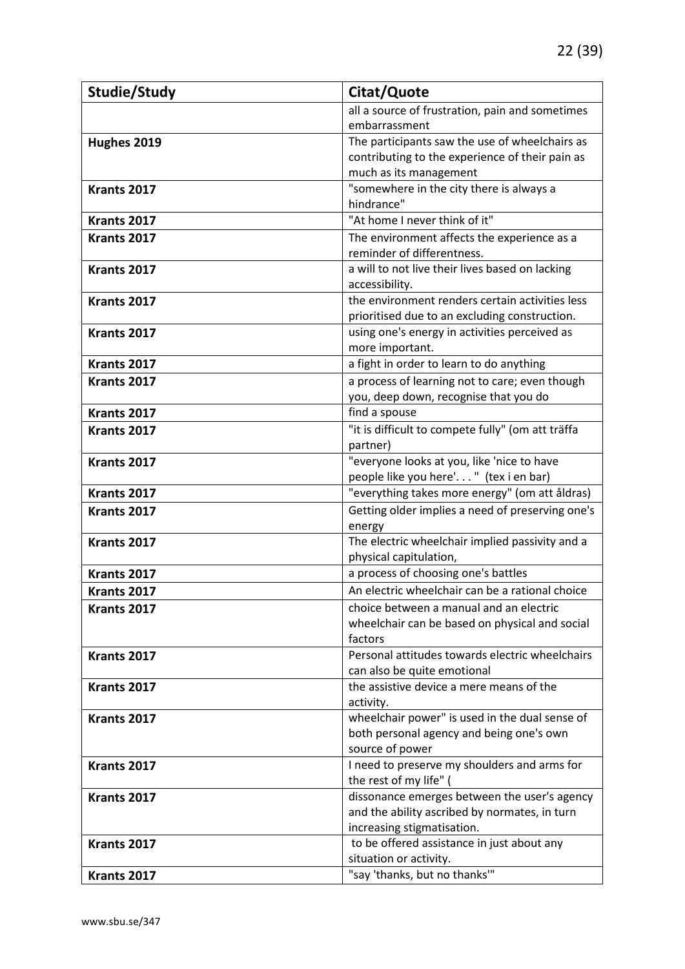| Studie/Study | Citat/Quote                                                   |
|--------------|---------------------------------------------------------------|
|              | all a source of frustration, pain and sometimes               |
|              | embarrassment                                                 |
| Hughes 2019  | The participants saw the use of wheelchairs as                |
|              | contributing to the experience of their pain as               |
|              | much as its management                                        |
| Krants 2017  | "somewhere in the city there is always a                      |
|              | hindrance"                                                    |
| Krants 2017  | "At home I never think of it"                                 |
| Krants 2017  | The environment affects the experience as a                   |
|              | reminder of differentness.                                    |
| Krants 2017  | a will to not live their lives based on lacking               |
|              | accessibility.                                                |
| Krants 2017  | the environment renders certain activities less               |
|              | prioritised due to an excluding construction.                 |
| Krants 2017  | using one's energy in activities perceived as                 |
|              | more important.                                               |
| Krants 2017  | a fight in order to learn to do anything                      |
| Krants 2017  | a process of learning not to care; even though                |
|              | you, deep down, recognise that you do                         |
| Krants 2017  | find a spouse                                                 |
| Krants 2017  | "it is difficult to compete fully" (om att träffa             |
|              | partner)                                                      |
| Krants 2017  | "everyone looks at you, like 'nice to have                    |
|              | people like you here'. " (tex i en bar)                       |
| Krants 2017  | "everything takes more energy" (om att åldras)                |
| Krants 2017  | Getting older implies a need of preserving one's              |
|              | energy                                                        |
| Krants 2017  | The electric wheelchair implied passivity and a               |
| Krants 2017  | physical capitulation,<br>a process of choosing one's battles |
|              |                                                               |
| Krants 2017  | An electric wheelchair can be a rational choice               |
| Krants 2017  | choice between a manual and an electric                       |
|              | wheelchair can be based on physical and social<br>factors     |
| Krants 2017  | Personal attitudes towards electric wheelchairs               |
|              | can also be quite emotional                                   |
| Krants 2017  | the assistive device a mere means of the                      |
|              | activity.                                                     |
| Krants 2017  | wheelchair power" is used in the dual sense of                |
|              | both personal agency and being one's own                      |
|              | source of power                                               |
| Krants 2017  | I need to preserve my shoulders and arms for                  |
|              | the rest of my life" (                                        |
| Krants 2017  | dissonance emerges between the user's agency                  |
|              | and the ability ascribed by normates, in turn                 |
|              | increasing stigmatisation.                                    |
| Krants 2017  | to be offered assistance in just about any                    |
|              | situation or activity.                                        |
| Krants 2017  | "say 'thanks, but no thanks'"                                 |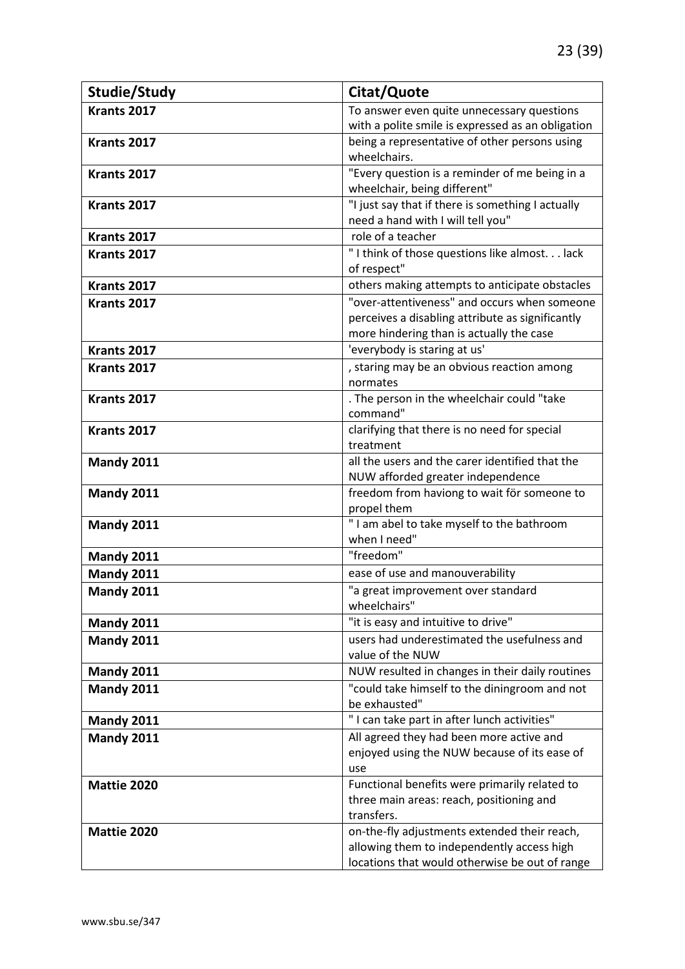| Studie/Study      | Citat/Quote                                               |
|-------------------|-----------------------------------------------------------|
| Krants 2017       | To answer even quite unnecessary questions                |
|                   | with a polite smile is expressed as an obligation         |
| Krants 2017       | being a representative of other persons using             |
|                   | wheelchairs.                                              |
| Krants 2017       | "Every question is a reminder of me being in a            |
|                   | wheelchair, being different"                              |
| Krants 2017       | "I just say that if there is something I actually         |
|                   | need a hand with I will tell you"                         |
| Krants 2017       | role of a teacher                                         |
| Krants 2017       | "I think of those questions like almost lack              |
|                   | of respect"                                               |
| Krants 2017       | others making attempts to anticipate obstacles            |
| Krants 2017       | "over-attentiveness" and occurs when someone              |
|                   | perceives a disabling attribute as significantly          |
|                   | more hindering than is actually the case                  |
| Krants 2017       | 'everybody is staring at us'                              |
| Krants 2017       | , staring may be an obvious reaction among                |
|                   | normates                                                  |
| Krants 2017       | . The person in the wheelchair could "take                |
| Krants 2017       | command"                                                  |
|                   | clarifying that there is no need for special<br>treatment |
| Mandy 2011        | all the users and the carer identified that the           |
|                   | NUW afforded greater independence                         |
| Mandy 2011        | freedom from haviong to wait för someone to               |
|                   | propel them                                               |
| Mandy 2011        | "I am abel to take myself to the bathroom                 |
|                   | when I need"                                              |
| <b>Mandy 2011</b> | "freedom"                                                 |
| Mandy 2011        | ease of use and manouverability                           |
| Mandy 2011        | "a great improvement over standard                        |
|                   | wheelchairs"                                              |
| <b>Mandy 2011</b> | "it is easy and intuitive to drive"                       |
| <b>Mandy 2011</b> | users had underestimated the usefulness and               |
|                   | value of the NUW                                          |
| <b>Mandy 2011</b> | NUW resulted in changes in their daily routines           |
| <b>Mandy 2011</b> | "could take himself to the diningroom and not             |
|                   | be exhausted"                                             |
| <b>Mandy 2011</b> | "I can take part in after lunch activities"               |
| <b>Mandy 2011</b> | All agreed they had been more active and                  |
|                   | enjoyed using the NUW because of its ease of              |
|                   | use                                                       |
| Mattie 2020       | Functional benefits were primarily related to             |
|                   | three main areas: reach, positioning and                  |
|                   | transfers.                                                |
| Mattie 2020       | on-the-fly adjustments extended their reach,              |
|                   | allowing them to independently access high                |
|                   | locations that would otherwise be out of range            |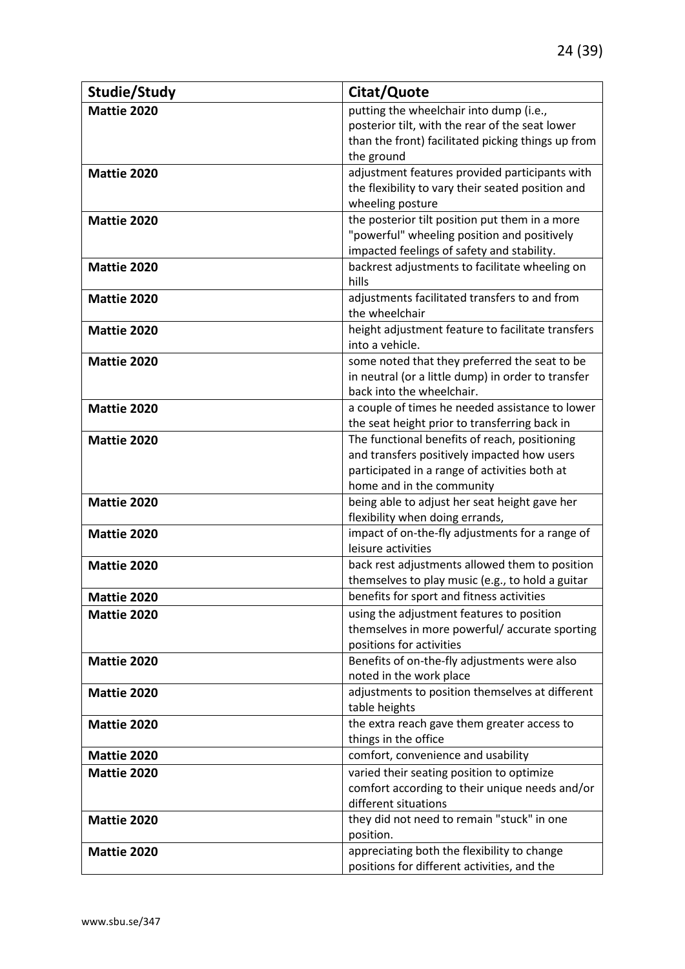| Studie/Study       | Citat/Quote                                                                                                                                                                |
|--------------------|----------------------------------------------------------------------------------------------------------------------------------------------------------------------------|
| Mattie 2020        | putting the wheelchair into dump (i.e.,<br>posterior tilt, with the rear of the seat lower<br>than the front) facilitated picking things up from<br>the ground             |
| Mattie 2020        | adjustment features provided participants with<br>the flexibility to vary their seated position and<br>wheeling posture                                                    |
| Mattie 2020        | the posterior tilt position put them in a more<br>"powerful" wheeling position and positively<br>impacted feelings of safety and stability.                                |
| Mattie 2020        | backrest adjustments to facilitate wheeling on<br>hills                                                                                                                    |
| Mattie 2020        | adjustments facilitated transfers to and from<br>the wheelchair                                                                                                            |
| Mattie 2020        | height adjustment feature to facilitate transfers<br>into a vehicle.                                                                                                       |
| Mattie 2020        | some noted that they preferred the seat to be<br>in neutral (or a little dump) in order to transfer<br>back into the wheelchair.                                           |
| Mattie 2020        | a couple of times he needed assistance to lower<br>the seat height prior to transferring back in                                                                           |
| Mattie 2020        | The functional benefits of reach, positioning<br>and transfers positively impacted how users<br>participated in a range of activities both at<br>home and in the community |
| Mattie 2020        | being able to adjust her seat height gave her<br>flexibility when doing errands,                                                                                           |
| Mattie 2020        | impact of on-the-fly adjustments for a range of<br>leisure activities                                                                                                      |
| <b>Mattie 2020</b> | back rest adjustments allowed them to position<br>themselves to play music (e.g., to hold a guitar                                                                         |
| Mattie 2020        | benefits for sport and fitness activities                                                                                                                                  |
| Mattie 2020        | using the adjustment features to position<br>themselves in more powerful/accurate sporting<br>positions for activities                                                     |
| Mattie 2020        | Benefits of on-the-fly adjustments were also<br>noted in the work place                                                                                                    |
| Mattie 2020        | adjustments to position themselves at different<br>table heights                                                                                                           |
| <b>Mattie 2020</b> | the extra reach gave them greater access to<br>things in the office                                                                                                        |
| Mattie 2020        | comfort, convenience and usability                                                                                                                                         |
| Mattie 2020        | varied their seating position to optimize<br>comfort according to their unique needs and/or<br>different situations                                                        |
| Mattie 2020        | they did not need to remain "stuck" in one<br>position.                                                                                                                    |
| Mattie 2020        | appreciating both the flexibility to change<br>positions for different activities, and the                                                                                 |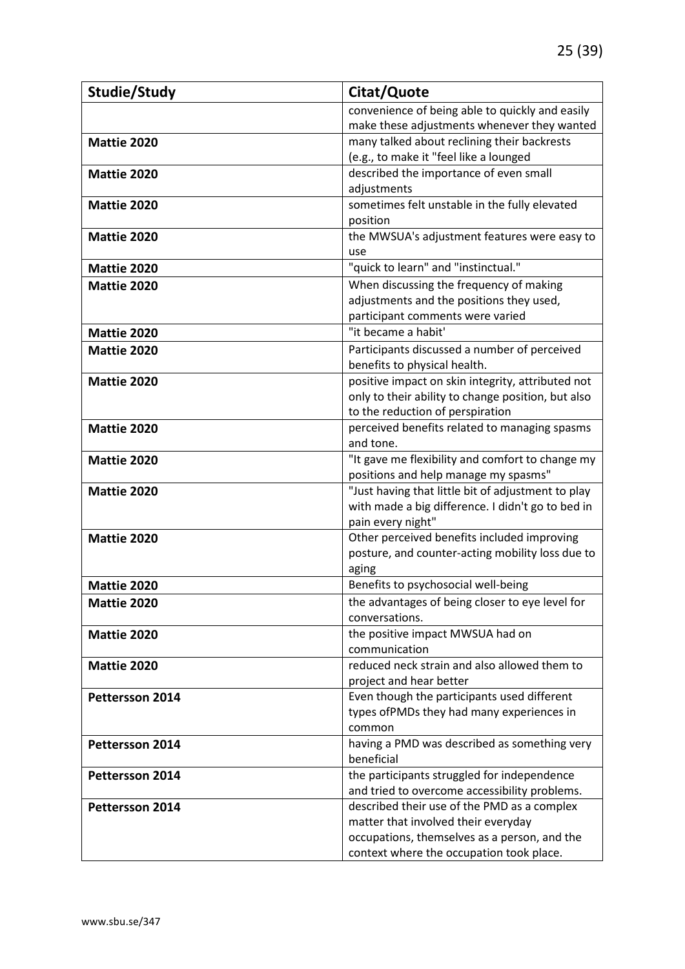| Studie/Study           | Citat/Quote                                                            |
|------------------------|------------------------------------------------------------------------|
|                        | convenience of being able to quickly and easily                        |
|                        | make these adjustments whenever they wanted                            |
| Mattie 2020            | many talked about reclining their backrests                            |
|                        | (e.g., to make it "feel like a lounged                                 |
| <b>Mattie 2020</b>     | described the importance of even small                                 |
|                        | adjustments                                                            |
| <b>Mattie 2020</b>     | sometimes felt unstable in the fully elevated                          |
|                        | position                                                               |
| <b>Mattie 2020</b>     | the MWSUA's adjustment features were easy to                           |
|                        | use                                                                    |
| <b>Mattie 2020</b>     | "quick to learn" and "instinctual."                                    |
| Mattie 2020            | When discussing the frequency of making                                |
|                        | adjustments and the positions they used,                               |
|                        | participant comments were varied                                       |
| Mattie 2020            | "it became a habit"                                                    |
| <b>Mattie 2020</b>     | Participants discussed a number of perceived                           |
|                        | benefits to physical health.                                           |
| Mattie 2020            | positive impact on skin integrity, attributed not                      |
|                        | only to their ability to change position, but also                     |
|                        | to the reduction of perspiration                                       |
| Mattie 2020            | perceived benefits related to managing spasms                          |
|                        | and tone.                                                              |
| Mattie 2020            | "It gave me flexibility and comfort to change my                       |
|                        | positions and help manage my spasms"                                   |
| Mattie 2020            | "Just having that little bit of adjustment to play                     |
|                        | with made a big difference. I didn't go to bed in<br>pain every night" |
| Mattie 2020            | Other perceived benefits included improving                            |
|                        | posture, and counter-acting mobility loss due to                       |
|                        | aging                                                                  |
| Mattie 2020            | Benefits to psychosocial well-being                                    |
| Mattie 2020            | the advantages of being closer to eye level for                        |
|                        | conversations.                                                         |
| Mattie 2020            | the positive impact MWSUA had on                                       |
|                        | communication                                                          |
| Mattie 2020            | reduced neck strain and also allowed them to                           |
|                        | project and hear better                                                |
| Pettersson 2014        | Even though the participants used different                            |
|                        | types ofPMDs they had many experiences in                              |
|                        | common                                                                 |
| Pettersson 2014        | having a PMD was described as something very                           |
|                        | beneficial                                                             |
| <b>Pettersson 2014</b> | the participants struggled for independence                            |
|                        | and tried to overcome accessibility problems.                          |
| <b>Pettersson 2014</b> | described their use of the PMD as a complex                            |
|                        | matter that involved their everyday                                    |
|                        | occupations, themselves as a person, and the                           |
|                        | context where the occupation took place.                               |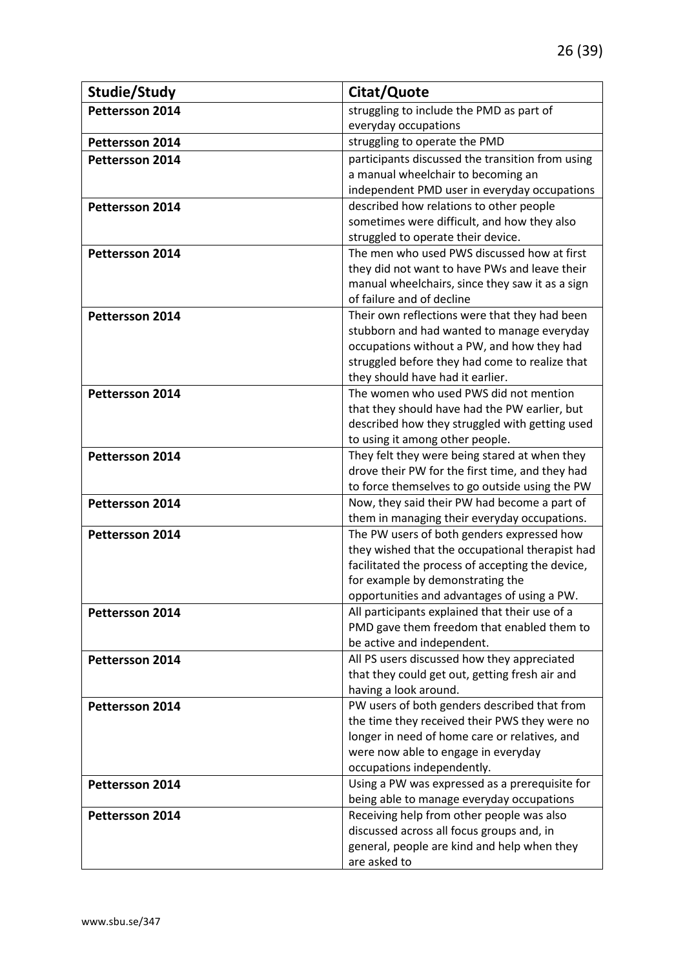| Studie/Study           | Citat/Quote                                                                                   |
|------------------------|-----------------------------------------------------------------------------------------------|
| Pettersson 2014        | struggling to include the PMD as part of                                                      |
|                        | everyday occupations                                                                          |
| Pettersson 2014        | struggling to operate the PMD                                                                 |
| <b>Pettersson 2014</b> | participants discussed the transition from using                                              |
|                        | a manual wheelchair to becoming an                                                            |
|                        | independent PMD user in everyday occupations                                                  |
| <b>Pettersson 2014</b> | described how relations to other people                                                       |
|                        | sometimes were difficult, and how they also                                                   |
|                        | struggled to operate their device.                                                            |
| Pettersson 2014        | The men who used PWS discussed how at first                                                   |
|                        | they did not want to have PWs and leave their                                                 |
|                        | manual wheelchairs, since they saw it as a sign                                               |
|                        | of failure and of decline                                                                     |
| Pettersson 2014        | Their own reflections were that they had been                                                 |
|                        | stubborn and had wanted to manage everyday                                                    |
|                        | occupations without a PW, and how they had                                                    |
|                        | struggled before they had come to realize that                                                |
|                        | they should have had it earlier.                                                              |
| Pettersson 2014        | The women who used PWS did not mention                                                        |
|                        | that they should have had the PW earlier, but                                                 |
|                        | described how they struggled with getting used                                                |
|                        | to using it among other people.                                                               |
| Pettersson 2014        | They felt they were being stared at when they                                                 |
|                        | drove their PW for the first time, and they had                                               |
|                        | to force themselves to go outside using the PW                                                |
| <b>Pettersson 2014</b> | Now, they said their PW had become a part of                                                  |
|                        | them in managing their everyday occupations.                                                  |
| <b>Pettersson 2014</b> | The PW users of both genders expressed how<br>they wished that the occupational therapist had |
|                        | facilitated the process of accepting the device,                                              |
|                        | for example by demonstrating the                                                              |
|                        | opportunities and advantages of using a PW.                                                   |
| Pettersson 2014        | All participants explained that their use of a                                                |
|                        | PMD gave them freedom that enabled them to                                                    |
|                        | be active and independent.                                                                    |
| Pettersson 2014        | All PS users discussed how they appreciated                                                   |
|                        | that they could get out, getting fresh air and                                                |
|                        | having a look around.                                                                         |
| Pettersson 2014        | PW users of both genders described that from                                                  |
|                        | the time they received their PWS they were no                                                 |
|                        | longer in need of home care or relatives, and                                                 |
|                        | were now able to engage in everyday                                                           |
|                        | occupations independently.                                                                    |
| Pettersson 2014        | Using a PW was expressed as a prerequisite for                                                |
|                        | being able to manage everyday occupations                                                     |
| Pettersson 2014        | Receiving help from other people was also                                                     |
|                        | discussed across all focus groups and, in                                                     |
|                        | general, people are kind and help when they                                                   |
|                        | are asked to                                                                                  |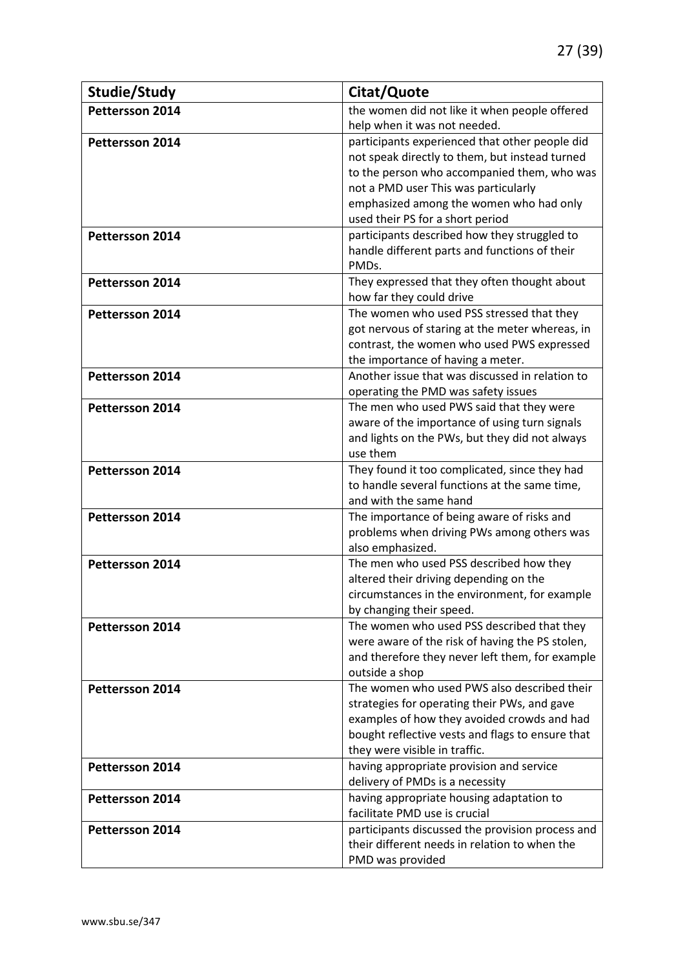| Studie/Study           | Citat/Quote                                                             |
|------------------------|-------------------------------------------------------------------------|
| Pettersson 2014        | the women did not like it when people offered                           |
|                        | help when it was not needed.                                            |
| Pettersson 2014        | participants experienced that other people did                          |
|                        | not speak directly to them, but instead turned                          |
|                        | to the person who accompanied them, who was                             |
|                        | not a PMD user This was particularly                                    |
|                        | emphasized among the women who had only                                 |
|                        | used their PS for a short period                                        |
| <b>Pettersson 2014</b> | participants described how they struggled to                            |
|                        | handle different parts and functions of their                           |
|                        | PMDs.                                                                   |
| <b>Pettersson 2014</b> | They expressed that they often thought about                            |
|                        | how far they could drive                                                |
| Pettersson 2014        | The women who used PSS stressed that they                               |
|                        | got nervous of staring at the meter whereas, in                         |
|                        | contrast, the women who used PWS expressed                              |
|                        | the importance of having a meter.                                       |
| <b>Pettersson 2014</b> | Another issue that was discussed in relation to                         |
|                        | operating the PMD was safety issues                                     |
| <b>Pettersson 2014</b> | The men who used PWS said that they were                                |
|                        | aware of the importance of using turn signals                           |
|                        | and lights on the PWs, but they did not always                          |
|                        | use them                                                                |
| Pettersson 2014        | They found it too complicated, since they had                           |
|                        | to handle several functions at the same time,<br>and with the same hand |
|                        | The importance of being aware of risks and                              |
| Pettersson 2014        | problems when driving PWs among others was                              |
|                        | also emphasized.                                                        |
| Pettersson 2014        | The men who used PSS described how they                                 |
|                        | altered their driving depending on the                                  |
|                        | circumstances in the environment, for example                           |
|                        | by changing their speed.                                                |
| Pettersson 2014        | The women who used PSS described that they                              |
|                        | were aware of the risk of having the PS stolen,                         |
|                        | and therefore they never left them, for example                         |
|                        | outside a shop                                                          |
| <b>Pettersson 2014</b> | The women who used PWS also described their                             |
|                        | strategies for operating their PWs, and gave                            |
|                        | examples of how they avoided crowds and had                             |
|                        | bought reflective vests and flags to ensure that                        |
|                        | they were visible in traffic.                                           |
| <b>Pettersson 2014</b> | having appropriate provision and service                                |
|                        | delivery of PMDs is a necessity                                         |
| <b>Pettersson 2014</b> | having appropriate housing adaptation to                                |
|                        | facilitate PMD use is crucial                                           |
| Pettersson 2014        | participants discussed the provision process and                        |
|                        | their different needs in relation to when the                           |
|                        | PMD was provided                                                        |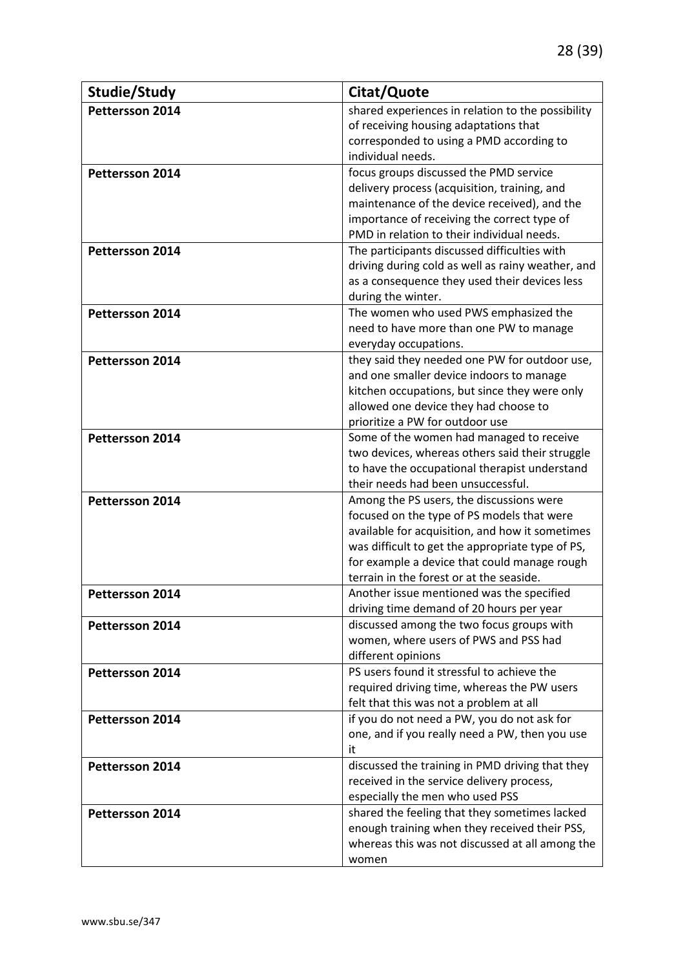| Studie/Study           | Citat/Quote                                                                                                                                                                                                                                                                               |
|------------------------|-------------------------------------------------------------------------------------------------------------------------------------------------------------------------------------------------------------------------------------------------------------------------------------------|
| Pettersson 2014        | shared experiences in relation to the possibility<br>of receiving housing adaptations that<br>corresponded to using a PMD according to<br>individual needs.                                                                                                                               |
| Pettersson 2014        | focus groups discussed the PMD service<br>delivery process (acquisition, training, and<br>maintenance of the device received), and the<br>importance of receiving the correct type of<br>PMD in relation to their individual needs.                                                       |
| Pettersson 2014        | The participants discussed difficulties with<br>driving during cold as well as rainy weather, and<br>as a consequence they used their devices less<br>during the winter.                                                                                                                  |
| Pettersson 2014        | The women who used PWS emphasized the<br>need to have more than one PW to manage<br>everyday occupations.                                                                                                                                                                                 |
| <b>Pettersson 2014</b> | they said they needed one PW for outdoor use,<br>and one smaller device indoors to manage<br>kitchen occupations, but since they were only<br>allowed one device they had choose to<br>prioritize a PW for outdoor use                                                                    |
| <b>Pettersson 2014</b> | Some of the women had managed to receive<br>two devices, whereas others said their struggle<br>to have the occupational therapist understand<br>their needs had been unsuccessful.                                                                                                        |
| Pettersson 2014        | Among the PS users, the discussions were<br>focused on the type of PS models that were<br>available for acquisition, and how it sometimes<br>was difficult to get the appropriate type of PS,<br>for example a device that could manage rough<br>terrain in the forest or at the seaside. |
| <b>Pettersson 2014</b> | Another issue mentioned was the specified<br>driving time demand of 20 hours per year                                                                                                                                                                                                     |
| Pettersson 2014        | discussed among the two focus groups with<br>women, where users of PWS and PSS had<br>different opinions                                                                                                                                                                                  |
| Pettersson 2014        | PS users found it stressful to achieve the<br>required driving time, whereas the PW users<br>felt that this was not a problem at all                                                                                                                                                      |
| Pettersson 2014        | if you do not need a PW, you do not ask for<br>one, and if you really need a PW, then you use<br>it                                                                                                                                                                                       |
| Pettersson 2014        | discussed the training in PMD driving that they<br>received in the service delivery process,<br>especially the men who used PSS                                                                                                                                                           |
| Pettersson 2014        | shared the feeling that they sometimes lacked<br>enough training when they received their PSS,<br>whereas this was not discussed at all among the<br>women                                                                                                                                |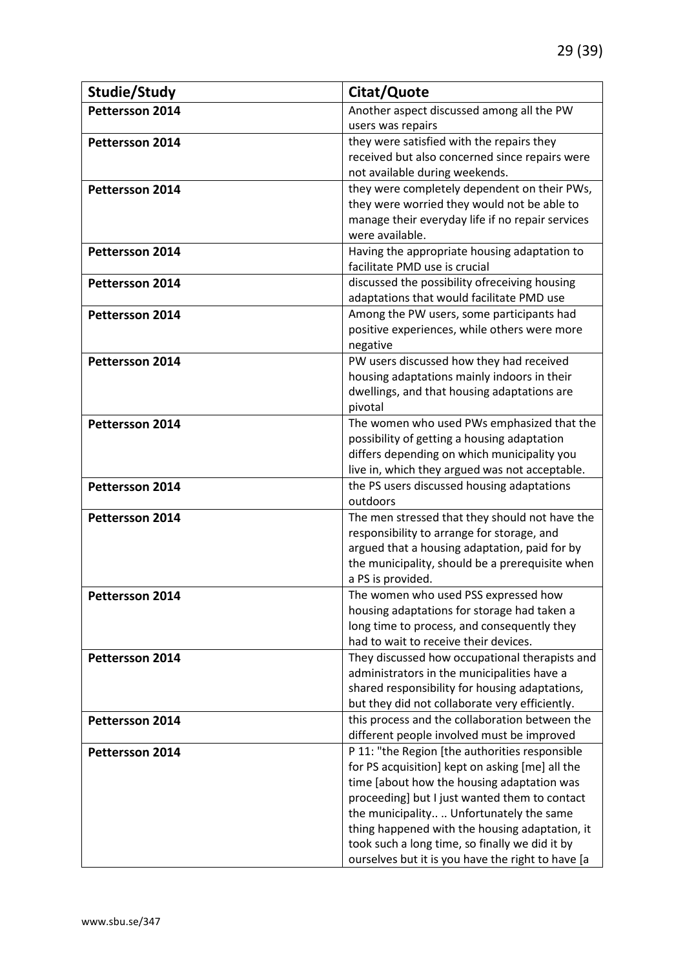| Studie/Study           | Citat/Quote                                            |
|------------------------|--------------------------------------------------------|
| Pettersson 2014        | Another aspect discussed among all the PW              |
|                        | users was repairs                                      |
| Pettersson 2014        | they were satisfied with the repairs they              |
|                        | received but also concerned since repairs were         |
|                        | not available during weekends.                         |
| Pettersson 2014        | they were completely dependent on their PWs,           |
|                        | they were worried they would not be able to            |
|                        | manage their everyday life if no repair services       |
|                        | were available.                                        |
| <b>Pettersson 2014</b> | Having the appropriate housing adaptation to           |
|                        | facilitate PMD use is crucial                          |
| <b>Pettersson 2014</b> | discussed the possibility ofreceiving housing          |
|                        | adaptations that would facilitate PMD use              |
| <b>Pettersson 2014</b> | Among the PW users, some participants had              |
|                        | positive experiences, while others were more           |
|                        | negative                                               |
| Pettersson 2014        | PW users discussed how they had received               |
|                        | housing adaptations mainly indoors in their            |
|                        | dwellings, and that housing adaptations are            |
|                        | pivotal                                                |
| Pettersson 2014        | The women who used PWs emphasized that the             |
|                        | possibility of getting a housing adaptation            |
|                        | differs depending on which municipality you            |
|                        | live in, which they argued was not acceptable.         |
| Pettersson 2014        | the PS users discussed housing adaptations<br>outdoors |
| <b>Pettersson 2014</b> | The men stressed that they should not have the         |
|                        | responsibility to arrange for storage, and             |
|                        | argued that a housing adaptation, paid for by          |
|                        | the municipality, should be a prerequisite when        |
|                        | a PS is provided.                                      |
| <b>Pettersson 2014</b> | The women who used PSS expressed how                   |
|                        | housing adaptations for storage had taken a            |
|                        | long time to process, and consequently they            |
|                        | had to wait to receive their devices.                  |
| <b>Pettersson 2014</b> | They discussed how occupational therapists and         |
|                        | administrators in the municipalities have a            |
|                        | shared responsibility for housing adaptations,         |
|                        | but they did not collaborate very efficiently.         |
| Pettersson 2014        | this process and the collaboration between the         |
|                        | different people involved must be improved             |
| <b>Pettersson 2014</b> | P 11: "the Region [the authorities responsible         |
|                        | for PS acquisition] kept on asking [me] all the        |
|                        | time [about how the housing adaptation was             |
|                        | proceeding] but I just wanted them to contact          |
|                        | the municipality Unfortunately the same                |
|                        | thing happened with the housing adaptation, it         |
|                        | took such a long time, so finally we did it by         |
|                        | ourselves but it is you have the right to have [a      |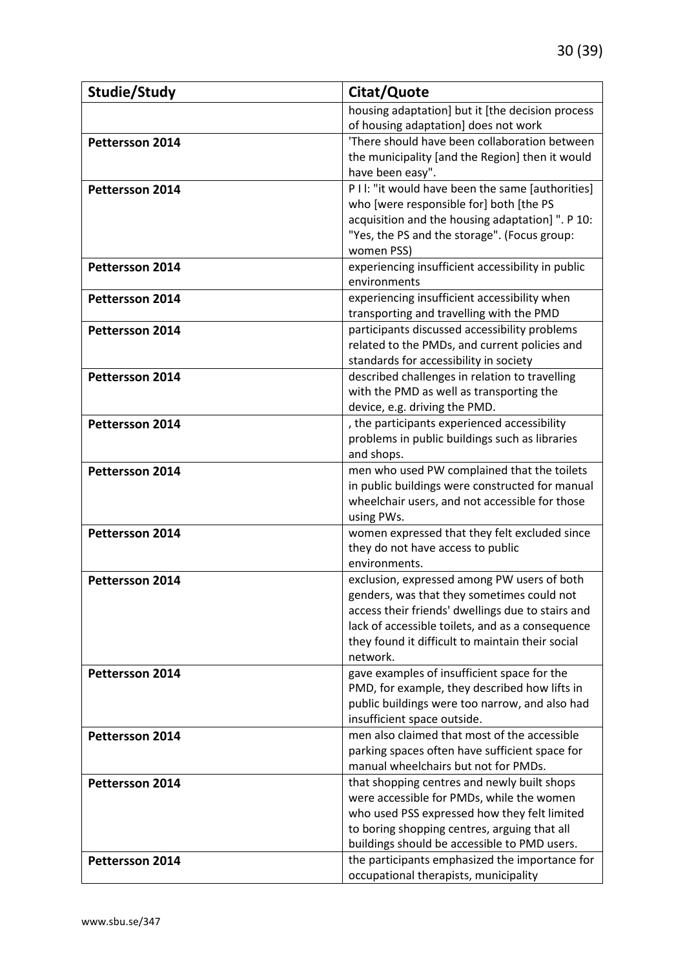| Studie/Study           | Citat/Quote                                                                                          |
|------------------------|------------------------------------------------------------------------------------------------------|
|                        | housing adaptation] but it [the decision process                                                     |
|                        | of housing adaptation] does not work                                                                 |
| Pettersson 2014        | 'There should have been collaboration between                                                        |
|                        | the municipality [and the Region] then it would                                                      |
|                        | have been easy".                                                                                     |
| Pettersson 2014        | P I I: "it would have been the same [authorities]                                                    |
|                        | who [were responsible for] both [the PS                                                              |
|                        | acquisition and the housing adaptation] ". P 10:                                                     |
|                        | "Yes, the PS and the storage". (Focus group:                                                         |
|                        | women PSS)                                                                                           |
| Pettersson 2014        | experiencing insufficient accessibility in public                                                    |
|                        | environments                                                                                         |
| <b>Pettersson 2014</b> | experiencing insufficient accessibility when                                                         |
|                        | transporting and travelling with the PMD                                                             |
| Pettersson 2014        | participants discussed accessibility problems                                                        |
|                        | related to the PMDs, and current policies and                                                        |
|                        | standards for accessibility in society<br>described challenges in relation to travelling             |
| Pettersson 2014        | with the PMD as well as transporting the                                                             |
|                        | device, e.g. driving the PMD.                                                                        |
| Pettersson 2014        | , the participants experienced accessibility                                                         |
|                        | problems in public buildings such as libraries                                                       |
|                        | and shops.                                                                                           |
| Pettersson 2014        | men who used PW complained that the toilets                                                          |
|                        | in public buildings were constructed for manual                                                      |
|                        | wheelchair users, and not accessible for those                                                       |
|                        | using PWs.                                                                                           |
| Pettersson 2014        | women expressed that they felt excluded since                                                        |
|                        | they do not have access to public                                                                    |
|                        | environments.                                                                                        |
| Pettersson 2014        | exclusion, expressed among PW users of both                                                          |
|                        | genders, was that they sometimes could not                                                           |
|                        | access their friends' dwellings due to stairs and                                                    |
|                        | lack of accessible toilets, and as a consequence<br>they found it difficult to maintain their social |
|                        | network.                                                                                             |
| Pettersson 2014        | gave examples of insufficient space for the                                                          |
|                        | PMD, for example, they described how lifts in                                                        |
|                        | public buildings were too narrow, and also had                                                       |
|                        | insufficient space outside.                                                                          |
| Pettersson 2014        | men also claimed that most of the accessible                                                         |
|                        | parking spaces often have sufficient space for                                                       |
|                        | manual wheelchairs but not for PMDs.                                                                 |
| Pettersson 2014        | that shopping centres and newly built shops                                                          |
|                        | were accessible for PMDs, while the women                                                            |
|                        | who used PSS expressed how they felt limited                                                         |
|                        | to boring shopping centres, arguing that all                                                         |
|                        | buildings should be accessible to PMD users.                                                         |
| <b>Pettersson 2014</b> | the participants emphasized the importance for                                                       |
|                        | occupational therapists, municipality                                                                |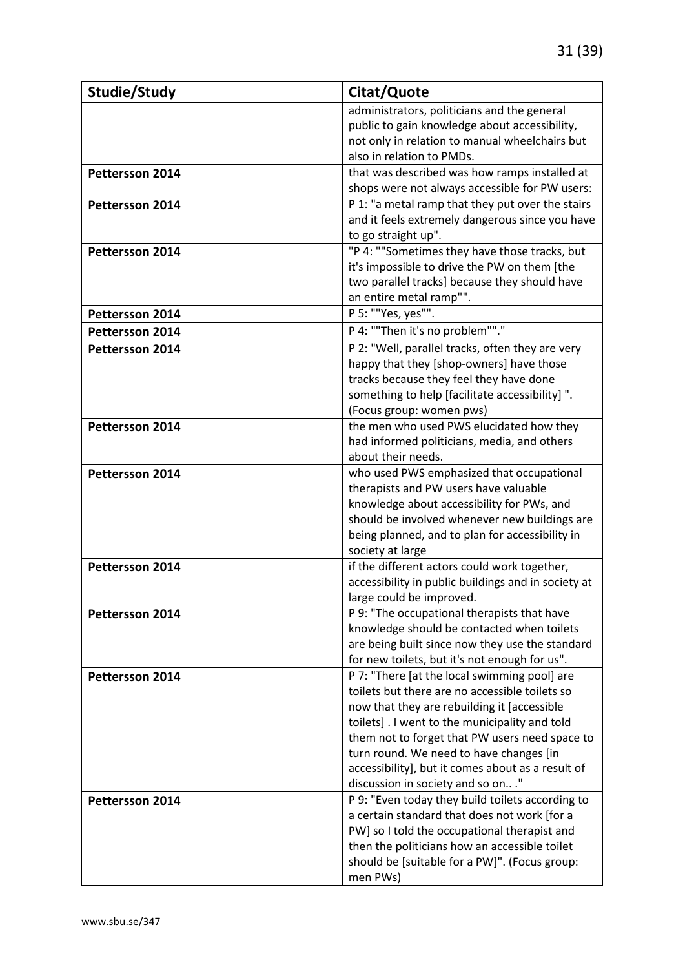| Studie/Study           | Citat/Quote                                                                               |
|------------------------|-------------------------------------------------------------------------------------------|
|                        | administrators, politicians and the general                                               |
|                        | public to gain knowledge about accessibility,                                             |
|                        | not only in relation to manual wheelchairs but                                            |
|                        | also in relation to PMDs.                                                                 |
| Pettersson 2014        | that was described was how ramps installed at                                             |
|                        | shops were not always accessible for PW users:                                            |
| Pettersson 2014        | P 1: "a metal ramp that they put over the stairs                                          |
|                        | and it feels extremely dangerous since you have                                           |
|                        | to go straight up".                                                                       |
| Pettersson 2014        | "P 4: ""Sometimes they have those tracks, but                                             |
|                        | it's impossible to drive the PW on them [the                                              |
|                        | two parallel tracks] because they should have                                             |
|                        | an entire metal ramp"".                                                                   |
| Pettersson 2014        | P 5: ""Yes, yes"".                                                                        |
| <b>Pettersson 2014</b> | P 4: ""Then it's no problem""."                                                           |
| Pettersson 2014        | P 2: "Well, parallel tracks, often they are very                                          |
|                        | happy that they [shop-owners] have those                                                  |
|                        | tracks because they feel they have done                                                   |
|                        | something to help [facilitate accessibility]".                                            |
|                        | (Focus group: women pws)                                                                  |
| Pettersson 2014        | the men who used PWS elucidated how they                                                  |
|                        | had informed politicians, media, and others                                               |
|                        | about their needs.                                                                        |
| Pettersson 2014        | who used PWS emphasized that occupational                                                 |
|                        | therapists and PW users have valuable                                                     |
|                        | knowledge about accessibility for PWs, and                                                |
|                        | should be involved whenever new buildings are                                             |
|                        | being planned, and to plan for accessibility in                                           |
|                        | society at large                                                                          |
| Pettersson 2014        | if the different actors could work together,                                              |
|                        | accessibility in public buildings and in society at                                       |
|                        | large could be improved.                                                                  |
| Pettersson 2014        | P 9: "The occupational therapists that have<br>knowledge should be contacted when toilets |
|                        | are being built since now they use the standard                                           |
|                        | for new toilets, but it's not enough for us".                                             |
| Pettersson 2014        | P 7: "There [at the local swimming pool] are                                              |
|                        | toilets but there are no accessible toilets so                                            |
|                        | now that they are rebuilding it [accessible                                               |
|                        | toilets]. I went to the municipality and told                                             |
|                        | them not to forget that PW users need space to                                            |
|                        | turn round. We need to have changes [in                                                   |
|                        | accessibility], but it comes about as a result of                                         |
|                        | discussion in society and so on"                                                          |
| Pettersson 2014        | P 9: "Even today they build toilets according to                                          |
|                        | a certain standard that does not work [for a                                              |
|                        | PW] so I told the occupational therapist and                                              |
|                        | then the politicians how an accessible toilet                                             |
|                        | should be [suitable for a PW]". (Focus group:                                             |
|                        | men PWs)                                                                                  |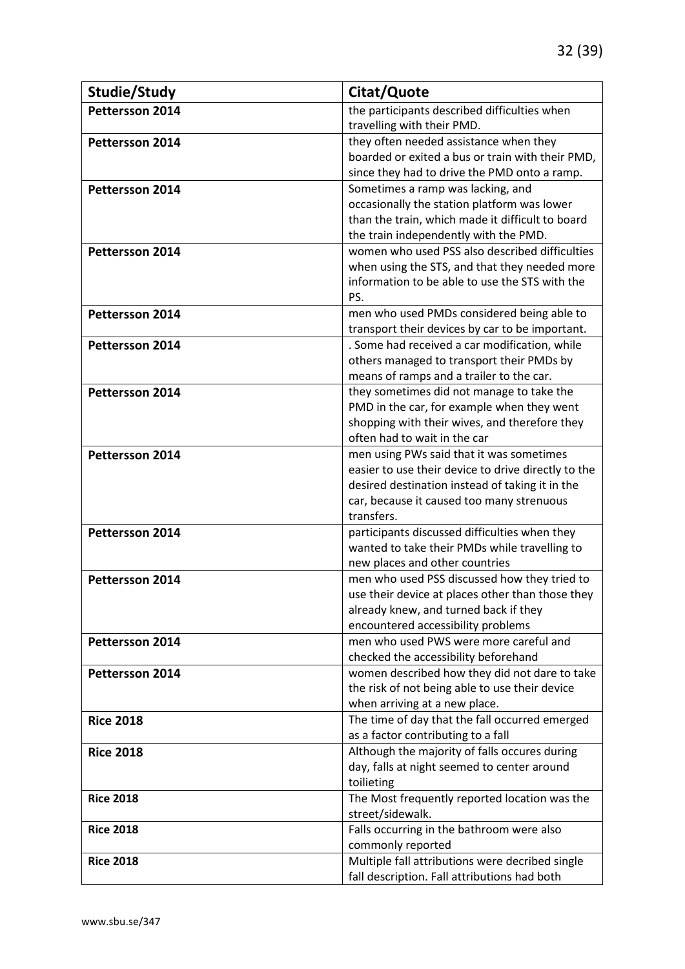| Studie/Study           | Citat/Quote                                                                                     |
|------------------------|-------------------------------------------------------------------------------------------------|
| Pettersson 2014        | the participants described difficulties when                                                    |
|                        | travelling with their PMD.                                                                      |
| Pettersson 2014        | they often needed assistance when they                                                          |
|                        | boarded or exited a bus or train with their PMD,                                                |
|                        | since they had to drive the PMD onto a ramp.                                                    |
| Pettersson 2014        | Sometimes a ramp was lacking, and                                                               |
|                        | occasionally the station platform was lower                                                     |
|                        | than the train, which made it difficult to board                                                |
|                        | the train independently with the PMD.                                                           |
| Pettersson 2014        | women who used PSS also described difficulties                                                  |
|                        | when using the STS, and that they needed more                                                   |
|                        | information to be able to use the STS with the                                                  |
|                        | PS.                                                                                             |
| Pettersson 2014        | men who used PMDs considered being able to                                                      |
|                        | transport their devices by car to be important.                                                 |
| <b>Pettersson 2014</b> | . Some had received a car modification, while                                                   |
|                        | others managed to transport their PMDs by                                                       |
|                        | means of ramps and a trailer to the car.                                                        |
| Pettersson 2014        | they sometimes did not manage to take the                                                       |
|                        | PMD in the car, for example when they went                                                      |
|                        | shopping with their wives, and therefore they                                                   |
|                        | often had to wait in the car                                                                    |
| Pettersson 2014        | men using PWs said that it was sometimes                                                        |
|                        | easier to use their device to drive directly to the                                             |
|                        | desired destination instead of taking it in the                                                 |
|                        | car, because it caused too many strenuous                                                       |
|                        | transfers.                                                                                      |
| Pettersson 2014        | participants discussed difficulties when they                                                   |
|                        | wanted to take their PMDs while travelling to                                                   |
|                        | new places and other countries                                                                  |
| Pettersson 2014        | men who used PSS discussed how they tried to                                                    |
|                        | use their device at places other than those they                                                |
|                        | already knew, and turned back if they                                                           |
|                        | encountered accessibility problems                                                              |
| <b>Pettersson 2014</b> | men who used PWS were more careful and                                                          |
|                        | checked the accessibility beforehand                                                            |
| <b>Pettersson 2014</b> | women described how they did not dare to take<br>the risk of not being able to use their device |
|                        |                                                                                                 |
| <b>Rice 2018</b>       | when arriving at a new place.<br>The time of day that the fall occurred emerged                 |
|                        | as a factor contributing to a fall                                                              |
| <b>Rice 2018</b>       | Although the majority of falls occures during                                                   |
|                        | day, falls at night seemed to center around                                                     |
|                        | toilieting                                                                                      |
| <b>Rice 2018</b>       | The Most frequently reported location was the                                                   |
|                        | street/sidewalk.                                                                                |
| <b>Rice 2018</b>       | Falls occurring in the bathroom were also                                                       |
|                        | commonly reported                                                                               |
| <b>Rice 2018</b>       | Multiple fall attributions were decribed single                                                 |
|                        | fall description. Fall attributions had both                                                    |
|                        |                                                                                                 |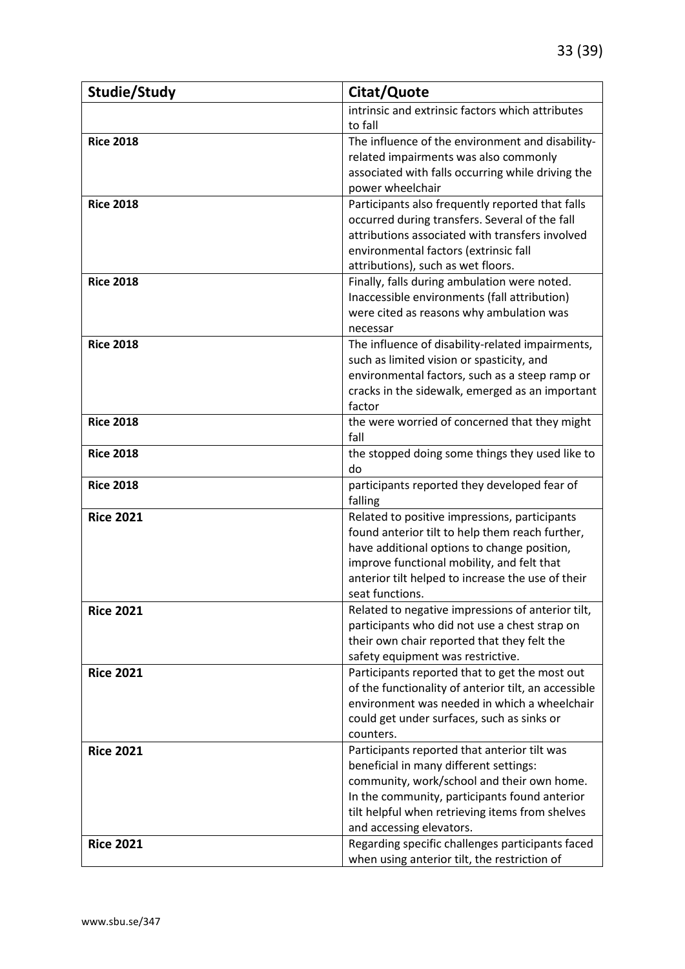| Studie/Study     | Citat/Quote                                                                                     |
|------------------|-------------------------------------------------------------------------------------------------|
|                  | intrinsic and extrinsic factors which attributes                                                |
|                  | to fall                                                                                         |
| <b>Rice 2018</b> | The influence of the environment and disability-                                                |
|                  | related impairments was also commonly                                                           |
|                  | associated with falls occurring while driving the                                               |
|                  | power wheelchair                                                                                |
| <b>Rice 2018</b> | Participants also frequently reported that falls                                                |
|                  | occurred during transfers. Several of the fall                                                  |
|                  | attributions associated with transfers involved                                                 |
|                  | environmental factors (extrinsic fall                                                           |
|                  | attributions), such as wet floors.                                                              |
| <b>Rice 2018</b> | Finally, falls during ambulation were noted.                                                    |
|                  | Inaccessible environments (fall attribution)<br>were cited as reasons why ambulation was        |
|                  |                                                                                                 |
| <b>Rice 2018</b> | necessar<br>The influence of disability-related impairments,                                    |
|                  | such as limited vision or spasticity, and                                                       |
|                  | environmental factors, such as a steep ramp or                                                  |
|                  | cracks in the sidewalk, emerged as an important                                                 |
|                  | factor                                                                                          |
| <b>Rice 2018</b> | the were worried of concerned that they might                                                   |
|                  | fall                                                                                            |
| <b>Rice 2018</b> | the stopped doing some things they used like to                                                 |
|                  | do                                                                                              |
| <b>Rice 2018</b> | participants reported they developed fear of                                                    |
|                  | falling                                                                                         |
| <b>Rice 2021</b> | Related to positive impressions, participants                                                   |
|                  | found anterior tilt to help them reach further,                                                 |
|                  | have additional options to change position,                                                     |
|                  | improve functional mobility, and felt that<br>anterior tilt helped to increase the use of their |
|                  | seat functions.                                                                                 |
| <b>Rice 2021</b> | Related to negative impressions of anterior tilt,                                               |
|                  | participants who did not use a chest strap on                                                   |
|                  | their own chair reported that they felt the                                                     |
|                  | safety equipment was restrictive.                                                               |
| <b>Rice 2021</b> | Participants reported that to get the most out                                                  |
|                  | of the functionality of anterior tilt, an accessible                                            |
|                  | environment was needed in which a wheelchair                                                    |
|                  | could get under surfaces, such as sinks or                                                      |
|                  | counters.                                                                                       |
| <b>Rice 2021</b> | Participants reported that anterior tilt was                                                    |
|                  | beneficial in many different settings:                                                          |
|                  | community, work/school and their own home.                                                      |
|                  | In the community, participants found anterior                                                   |
|                  | tilt helpful when retrieving items from shelves                                                 |
|                  | and accessing elevators.                                                                        |
| <b>Rice 2021</b> | Regarding specific challenges participants faced                                                |
|                  | when using anterior tilt, the restriction of                                                    |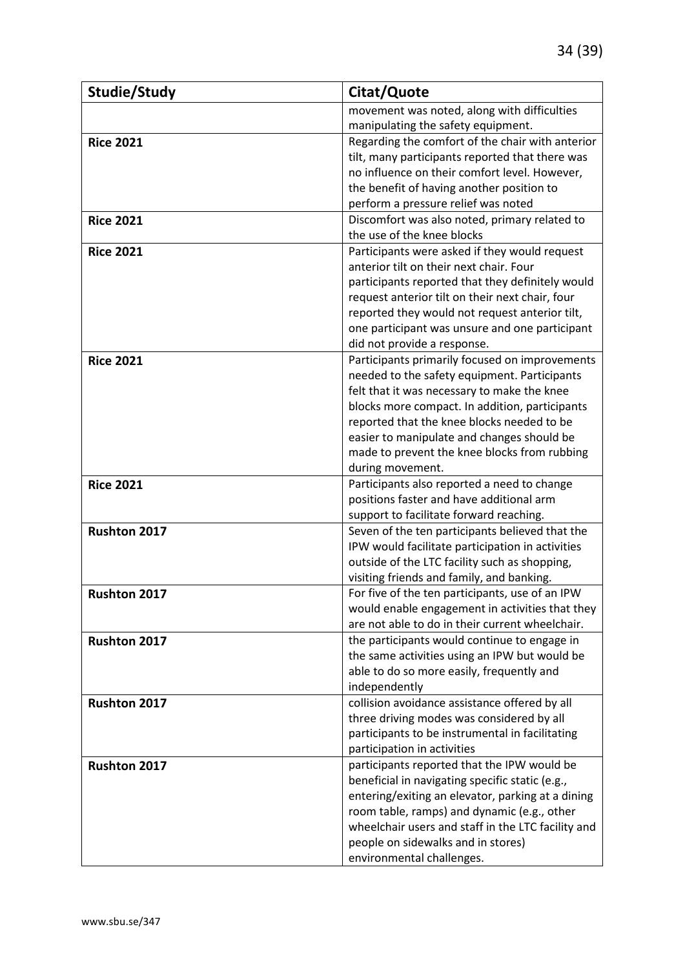| Studie/Study        | Citat/Quote                                                                                          |
|---------------------|------------------------------------------------------------------------------------------------------|
|                     | movement was noted, along with difficulties                                                          |
|                     | manipulating the safety equipment.                                                                   |
| <b>Rice 2021</b>    | Regarding the comfort of the chair with anterior                                                     |
|                     | tilt, many participants reported that there was                                                      |
|                     | no influence on their comfort level. However,                                                        |
|                     | the benefit of having another position to                                                            |
|                     | perform a pressure relief was noted                                                                  |
| <b>Rice 2021</b>    | Discomfort was also noted, primary related to                                                        |
|                     | the use of the knee blocks                                                                           |
| <b>Rice 2021</b>    | Participants were asked if they would request                                                        |
|                     | anterior tilt on their next chair. Four                                                              |
|                     | participants reported that they definitely would                                                     |
|                     | request anterior tilt on their next chair, four                                                      |
|                     | reported they would not request anterior tilt,                                                       |
|                     | one participant was unsure and one participant<br>did not provide a response.                        |
| <b>Rice 2021</b>    | Participants primarily focused on improvements                                                       |
|                     | needed to the safety equipment. Participants                                                         |
|                     | felt that it was necessary to make the knee                                                          |
|                     | blocks more compact. In addition, participants                                                       |
|                     | reported that the knee blocks needed to be                                                           |
|                     | easier to manipulate and changes should be                                                           |
|                     | made to prevent the knee blocks from rubbing                                                         |
|                     | during movement.                                                                                     |
| <b>Rice 2021</b>    | Participants also reported a need to change                                                          |
|                     | positions faster and have additional arm                                                             |
|                     | support to facilitate forward reaching.                                                              |
| Rushton 2017        | Seven of the ten participants believed that the                                                      |
|                     | IPW would facilitate participation in activities                                                     |
|                     | outside of the LTC facility such as shopping,                                                        |
|                     | visiting friends and family, and banking.                                                            |
| <b>Rushton 2017</b> | For five of the ten participants, use of an IPW                                                      |
|                     | would enable engagement in activities that they                                                      |
|                     | are not able to do in their current wheelchair.                                                      |
| Rushton 2017        | the participants would continue to engage in                                                         |
|                     | the same activities using an IPW but would be                                                        |
|                     | able to do so more easily, frequently and                                                            |
|                     | independently                                                                                        |
| Rushton 2017        | collision avoidance assistance offered by all                                                        |
|                     | three driving modes was considered by all                                                            |
|                     | participants to be instrumental in facilitating                                                      |
| Rushton 2017        | participation in activities<br>participants reported that the IPW would be                           |
|                     |                                                                                                      |
|                     | beneficial in navigating specific static (e.g.,<br>entering/exiting an elevator, parking at a dining |
|                     | room table, ramps) and dynamic (e.g., other                                                          |
|                     | wheelchair users and staff in the LTC facility and                                                   |
|                     | people on sidewalks and in stores)                                                                   |
|                     | environmental challenges.                                                                            |
|                     |                                                                                                      |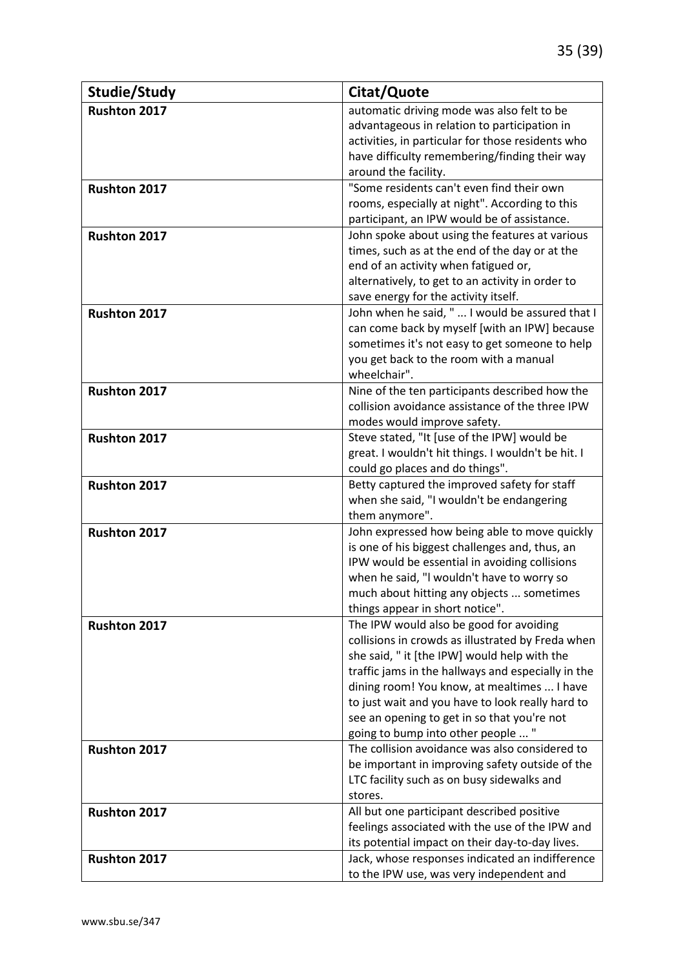| Studie/Study        | Citat/Quote                                                                                     |
|---------------------|-------------------------------------------------------------------------------------------------|
| <b>Rushton 2017</b> | automatic driving mode was also felt to be                                                      |
|                     | advantageous in relation to participation in                                                    |
|                     | activities, in particular for those residents who                                               |
|                     | have difficulty remembering/finding their way                                                   |
|                     | around the facility.                                                                            |
| Rushton 2017        | "Some residents can't even find their own                                                       |
|                     | rooms, especially at night". According to this                                                  |
|                     | participant, an IPW would be of assistance.                                                     |
| Rushton 2017        | John spoke about using the features at various                                                  |
|                     | times, such as at the end of the day or at the                                                  |
|                     | end of an activity when fatigued or,                                                            |
|                     | alternatively, to get to an activity in order to                                                |
|                     | save energy for the activity itself.                                                            |
| Rushton 2017        | John when he said, "  I would be assured that I                                                 |
|                     | can come back by myself [with an IPW] because                                                   |
|                     | sometimes it's not easy to get someone to help                                                  |
|                     | you get back to the room with a manual<br>wheelchair".                                          |
| Rushton 2017        | Nine of the ten participants described how the                                                  |
|                     | collision avoidance assistance of the three IPW                                                 |
|                     | modes would improve safety.                                                                     |
| Rushton 2017        | Steve stated, "It [use of the IPW] would be                                                     |
|                     | great. I wouldn't hit things. I wouldn't be hit. I                                              |
|                     | could go places and do things".                                                                 |
| Rushton 2017        | Betty captured the improved safety for staff                                                    |
|                     | when she said, "I wouldn't be endangering                                                       |
|                     | them anymore".                                                                                  |
| Rushton 2017        | John expressed how being able to move quickly                                                   |
|                     | is one of his biggest challenges and, thus, an                                                  |
|                     | IPW would be essential in avoiding collisions                                                   |
|                     | when he said, "I wouldn't have to worry so                                                      |
|                     | much about hitting any objects  sometimes                                                       |
|                     | things appear in short notice".                                                                 |
| Rushton 2017        | The IPW would also be good for avoiding                                                         |
|                     | collisions in crowds as illustrated by Freda when                                               |
|                     | she said, " it [the IPW] would help with the                                                    |
|                     | traffic jams in the hallways and especially in the                                              |
|                     | dining room! You know, at mealtimes  I have                                                     |
|                     | to just wait and you have to look really hard to<br>see an opening to get in so that you're not |
|                     | going to bump into other people  "                                                              |
| Rushton 2017        | The collision avoidance was also considered to                                                  |
|                     | be important in improving safety outside of the                                                 |
|                     | LTC facility such as on busy sidewalks and                                                      |
|                     | stores.                                                                                         |
| <b>Rushton 2017</b> | All but one participant described positive                                                      |
|                     | feelings associated with the use of the IPW and                                                 |
|                     | its potential impact on their day-to-day lives.                                                 |
| Rushton 2017        | Jack, whose responses indicated an indifference                                                 |
|                     | to the IPW use, was very independent and                                                        |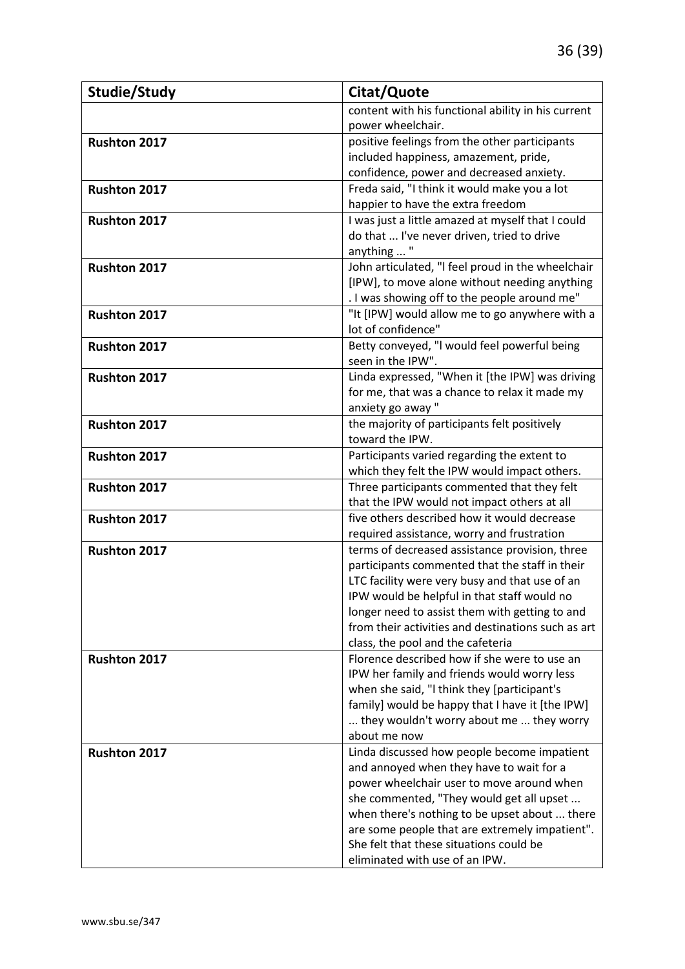| Studie/Study        | Citat/Quote                                                                                  |
|---------------------|----------------------------------------------------------------------------------------------|
|                     | content with his functional ability in his current                                           |
|                     | power wheelchair.                                                                            |
| Rushton 2017        | positive feelings from the other participants                                                |
|                     | included happiness, amazement, pride,                                                        |
|                     | confidence, power and decreased anxiety.                                                     |
| Rushton 2017        | Freda said, "I think it would make you a lot                                                 |
|                     | happier to have the extra freedom                                                            |
| <b>Rushton 2017</b> | I was just a little amazed at myself that I could                                            |
|                     | do that  I've never driven, tried to drive                                                   |
|                     | anything  "                                                                                  |
| Rushton 2017        | John articulated, "I feel proud in the wheelchair                                            |
|                     | [IPW], to move alone without needing anything                                                |
|                     | . I was showing off to the people around me"                                                 |
| Rushton 2017        | "It [IPW] would allow me to go anywhere with a                                               |
|                     | lot of confidence"                                                                           |
| <b>Rushton 2017</b> | Betty conveyed, "I would feel powerful being                                                 |
|                     | seen in the IPW".                                                                            |
| <b>Rushton 2017</b> | Linda expressed, "When it [the IPW] was driving                                              |
|                     | for me, that was a chance to relax it made my                                                |
|                     | anxiety go away"                                                                             |
| Rushton 2017        | the majority of participants felt positively                                                 |
|                     | toward the IPW.                                                                              |
| Rushton 2017        | Participants varied regarding the extent to                                                  |
|                     | which they felt the IPW would impact others.                                                 |
| Rushton 2017        | Three participants commented that they felt                                                  |
|                     | that the IPW would not impact others at all<br>five others described how it would decrease   |
| Rushton 2017        |                                                                                              |
| Rushton 2017        | required assistance, worry and frustration<br>terms of decreased assistance provision, three |
|                     | participants commented that the staff in their                                               |
|                     | LTC facility were very busy and that use of an                                               |
|                     | IPW would be helpful in that staff would no                                                  |
|                     | longer need to assist them with getting to and                                               |
|                     | from their activities and destinations such as art                                           |
|                     | class, the pool and the cafeteria                                                            |
| Rushton 2017        | Florence described how if she were to use an                                                 |
|                     | IPW her family and friends would worry less                                                  |
|                     | when she said, "I think they [participant's                                                  |
|                     | family] would be happy that I have it [the IPW]                                              |
|                     | they wouldn't worry about me  they worry                                                     |
|                     | about me now                                                                                 |
| <b>Rushton 2017</b> | Linda discussed how people become impatient                                                  |
|                     | and annoyed when they have to wait for a                                                     |
|                     | power wheelchair user to move around when                                                    |
|                     | she commented, "They would get all upset                                                     |
|                     | when there's nothing to be upset about  there                                                |
|                     | are some people that are extremely impatient".                                               |
|                     | She felt that these situations could be                                                      |
|                     | eliminated with use of an IPW.                                                               |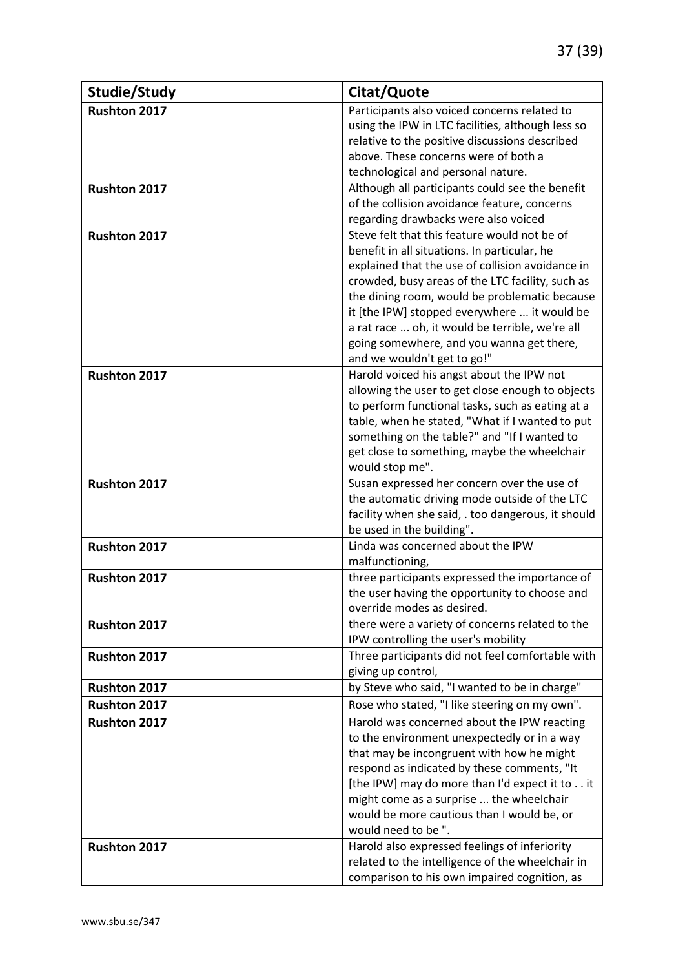| Studie/Study        | Citat/Quote                                                    |
|---------------------|----------------------------------------------------------------|
| <b>Rushton 2017</b> | Participants also voiced concerns related to                   |
|                     | using the IPW in LTC facilities, although less so              |
|                     | relative to the positive discussions described                 |
|                     | above. These concerns were of both a                           |
|                     | technological and personal nature.                             |
| Rushton 2017        | Although all participants could see the benefit                |
|                     | of the collision avoidance feature, concerns                   |
|                     | regarding drawbacks were also voiced                           |
| <b>Rushton 2017</b> | Steve felt that this feature would not be of                   |
|                     | benefit in all situations. In particular, he                   |
|                     | explained that the use of collision avoidance in               |
|                     | crowded, busy areas of the LTC facility, such as               |
|                     | the dining room, would be problematic because                  |
|                     | it [the IPW] stopped everywhere  it would be                   |
|                     | a rat race  oh, it would be terrible, we're all                |
|                     | going somewhere, and you wanna get there,                      |
|                     | and we wouldn't get to go!"                                    |
| <b>Rushton 2017</b> | Harold voiced his angst about the IPW not                      |
|                     | allowing the user to get close enough to objects               |
|                     | to perform functional tasks, such as eating at a               |
|                     | table, when he stated, "What if I wanted to put                |
|                     | something on the table?" and "If I wanted to                   |
|                     | get close to something, maybe the wheelchair                   |
| <b>Rushton 2017</b> | would stop me".<br>Susan expressed her concern over the use of |
|                     | the automatic driving mode outside of the LTC                  |
|                     | facility when she said, . too dangerous, it should             |
|                     | be used in the building".                                      |
| Rushton 2017        | Linda was concerned about the IPW                              |
|                     | malfunctioning,                                                |
| Rushton 2017        | three participants expressed the importance of                 |
|                     | the user having the opportunity to choose and                  |
|                     | override modes as desired.                                     |
| Rushton 2017        | there were a variety of concerns related to the                |
|                     | IPW controlling the user's mobility                            |
| <b>Rushton 2017</b> | Three participants did not feel comfortable with               |
|                     | giving up control,                                             |
| Rushton 2017        | by Steve who said, "I wanted to be in charge"                  |
| Rushton 2017        | Rose who stated, "I like steering on my own".                  |
| Rushton 2017        | Harold was concerned about the IPW reacting                    |
|                     | to the environment unexpectedly or in a way                    |
|                     | that may be incongruent with how he might                      |
|                     | respond as indicated by these comments, "It                    |
|                     | [the IPW] may do more than I'd expect it to it                 |
|                     | might come as a surprise  the wheelchair                       |
|                     | would be more cautious than I would be, or                     |
|                     | would need to be ".                                            |
| Rushton 2017        | Harold also expressed feelings of inferiority                  |
|                     | related to the intelligence of the wheelchair in               |
|                     | comparison to his own impaired cognition, as                   |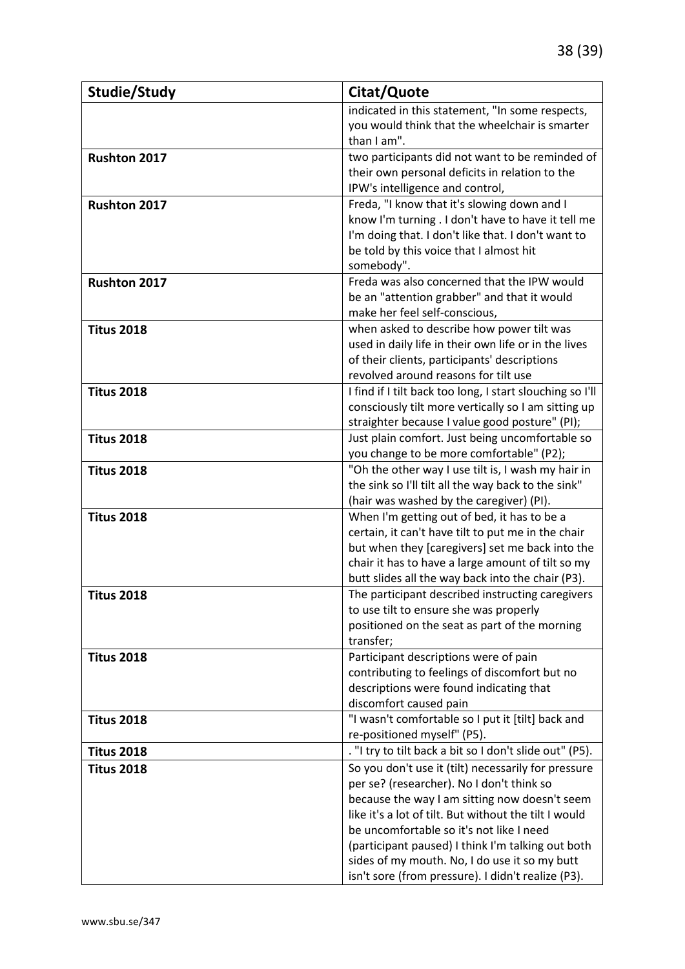| Studie/Study        | Citat/Quote                                                                                       |
|---------------------|---------------------------------------------------------------------------------------------------|
|                     | indicated in this statement, "In some respects,                                                   |
|                     | you would think that the wheelchair is smarter                                                    |
|                     | than I am".                                                                                       |
| <b>Rushton 2017</b> | two participants did not want to be reminded of                                                   |
|                     | their own personal deficits in relation to the                                                    |
|                     | IPW's intelligence and control,                                                                   |
| Rushton 2017        | Freda, "I know that it's slowing down and I                                                       |
|                     | know I'm turning . I don't have to have it tell me                                                |
|                     | I'm doing that. I don't like that. I don't want to                                                |
|                     | be told by this voice that I almost hit<br>somebody".                                             |
| Rushton 2017        | Freda was also concerned that the IPW would                                                       |
|                     | be an "attention grabber" and that it would                                                       |
|                     | make her feel self-conscious,                                                                     |
| <b>Titus 2018</b>   | when asked to describe how power tilt was                                                         |
|                     | used in daily life in their own life or in the lives                                              |
|                     | of their clients, participants' descriptions                                                      |
|                     | revolved around reasons for tilt use                                                              |
| <b>Titus 2018</b>   | I find if I tilt back too long, I start slouching so I'll                                         |
|                     | consciously tilt more vertically so I am sitting up                                               |
|                     | straighter because I value good posture" (PI);                                                    |
| <b>Titus 2018</b>   | Just plain comfort. Just being uncomfortable so                                                   |
|                     | you change to be more comfortable" (P2);                                                          |
| <b>Titus 2018</b>   | "Oh the other way I use tilt is, I wash my hair in                                                |
|                     | the sink so I'll tilt all the way back to the sink"                                               |
|                     | (hair was washed by the caregiver) (PI).                                                          |
| <b>Titus 2018</b>   | When I'm getting out of bed, it has to be a<br>certain, it can't have tilt to put me in the chair |
|                     | but when they [caregivers] set me back into the                                                   |
|                     | chair it has to have a large amount of tilt so my                                                 |
|                     | butt slides all the way back into the chair (P3).                                                 |
| <b>Titus 2018</b>   | The participant described instructing caregivers                                                  |
|                     | to use tilt to ensure she was properly                                                            |
|                     | positioned on the seat as part of the morning                                                     |
|                     | transfer;                                                                                         |
| <b>Titus 2018</b>   | Participant descriptions were of pain                                                             |
|                     | contributing to feelings of discomfort but no                                                     |
|                     | descriptions were found indicating that                                                           |
|                     | discomfort caused pain                                                                            |
| <b>Titus 2018</b>   | "I wasn't comfortable so I put it [tilt] back and                                                 |
|                     | re-positioned myself" (P5).                                                                       |
| <b>Titus 2018</b>   | . "I try to tilt back a bit so I don't slide out" (P5).                                           |
| <b>Titus 2018</b>   | So you don't use it (tilt) necessarily for pressure<br>per se? (researcher). No I don't think so  |
|                     | because the way I am sitting now doesn't seem                                                     |
|                     | like it's a lot of tilt. But without the tilt I would                                             |
|                     | be uncomfortable so it's not like I need                                                          |
|                     | (participant paused) I think I'm talking out both                                                 |
|                     | sides of my mouth. No, I do use it so my butt                                                     |
|                     | isn't sore (from pressure). I didn't realize (P3).                                                |